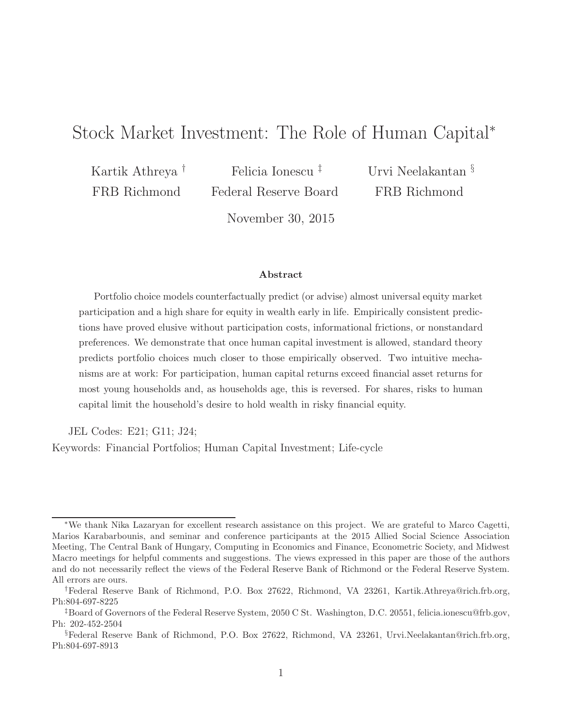# Stock Market Investment: The Role of Human Capital<sup>∗</sup>

Kartik Athreya † FRB Richmond

Felicia Ionescu ‡ Federal Reserve Board

Urvi Neelakantan § FRB Richmond

November 30, 2015

#### Abstract

Portfolio choice models counterfactually predict (or advise) almost universal equity market participation and a high share for equity in wealth early in life. Empirically consistent predictions have proved elusive without participation costs, informational frictions, or nonstandard preferences. We demonstrate that once human capital investment is allowed, standard theory predicts portfolio choices much closer to those empirically observed. Two intuitive mechanisms are at work: For participation, human capital returns exceed financial asset returns for most young households and, as households age, this is reversed. For shares, risks to human capital limit the household's desire to hold wealth in risky financial equity.

JEL Codes: E21; G11; J24;

Keywords: Financial Portfolios; Human Capital Investment; Life-cycle

<sup>∗</sup>We thank Nika Lazaryan for excellent research assistance on this project. We are grateful to Marco Cagetti, Marios Karabarbounis, and seminar and conference participants at the 2015 Allied Social Science Association Meeting, The Central Bank of Hungary, Computing in Economics and Finance, Econometric Society, and Midwest Macro meetings for helpful comments and suggestions. The views expressed in this paper are those of the authors and do not necessarily reflect the views of the Federal Reserve Bank of Richmond or the Federal Reserve System. All errors are ours.

<sup>†</sup>Federal Reserve Bank of Richmond, P.O. Box 27622, Richmond, VA 23261, Kartik.Athreya@rich.frb.org, Ph:804-697-8225

<sup>‡</sup>Board of Governors of the Federal Reserve System, 2050 C St. Washington, D.C. 20551, felicia.ionescu@frb.gov, Ph: 202-452-2504

<sup>§</sup>Federal Reserve Bank of Richmond, P.O. Box 27622, Richmond, VA 23261, Urvi.Neelakantan@rich.frb.org, Ph:804-697-8913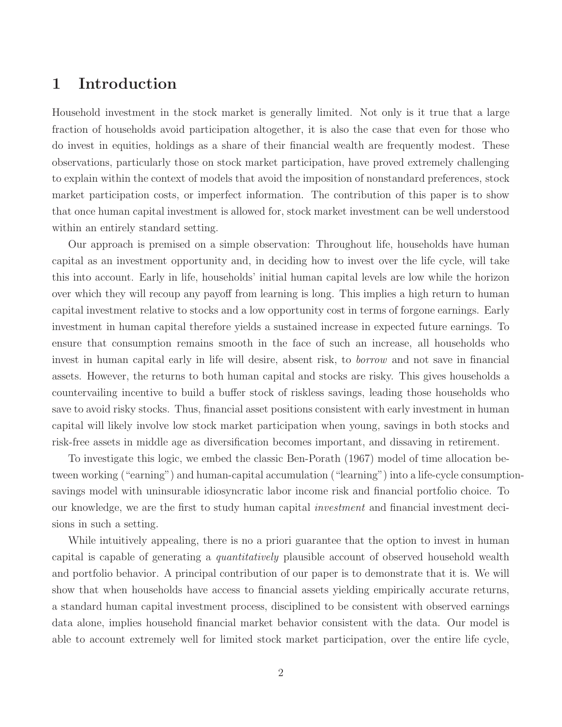# 1 Introduction

Household investment in the stock market is generally limited. Not only is it true that a large fraction of households avoid participation altogether, it is also the case that even for those who do invest in equities, holdings as a share of their financial wealth are frequently modest. These observations, particularly those on stock market participation, have proved extremely challenging to explain within the context of models that avoid the imposition of nonstandard preferences, stock market participation costs, or imperfect information. The contribution of this paper is to show that once human capital investment is allowed for, stock market investment can be well understood within an entirely standard setting.

Our approach is premised on a simple observation: Throughout life, households have human capital as an investment opportunity and, in deciding how to invest over the life cycle, will take this into account. Early in life, households' initial human capital levels are low while the horizon over which they will recoup any payoff from learning is long. This implies a high return to human capital investment relative to stocks and a low opportunity cost in terms of forgone earnings. Early investment in human capital therefore yields a sustained increase in expected future earnings. To ensure that consumption remains smooth in the face of such an increase, all households who invest in human capital early in life will desire, absent risk, to borrow and not save in financial assets. However, the returns to both human capital and stocks are risky. This gives households a countervailing incentive to build a buffer stock of riskless savings, leading those households who save to avoid risky stocks. Thus, financial asset positions consistent with early investment in human capital will likely involve low stock market participation when young, savings in both stocks and risk-free assets in middle age as diversification becomes important, and dissaving in retirement.

To investigate this logic, we embed the classic Ben-Porath (1967) model of time allocation between working ("earning") and human-capital accumulation ("learning") into a life-cycle consumptionsavings model with uninsurable idiosyncratic labor income risk and financial portfolio choice. To our knowledge, we are the first to study human capital investment and financial investment decisions in such a setting.

While intuitively appealing, there is no a priori guarantee that the option to invest in human capital is capable of generating a quantitatively plausible account of observed household wealth and portfolio behavior. A principal contribution of our paper is to demonstrate that it is. We will show that when households have access to financial assets yielding empirically accurate returns, a standard human capital investment process, disciplined to be consistent with observed earnings data alone, implies household financial market behavior consistent with the data. Our model is able to account extremely well for limited stock market participation, over the entire life cycle,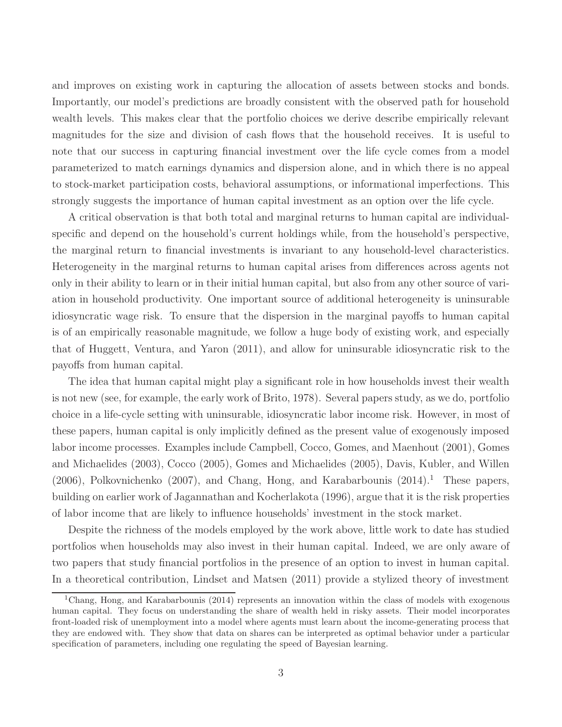and improves on existing work in capturing the allocation of assets between stocks and bonds. Importantly, our model's predictions are broadly consistent with the observed path for household wealth levels. This makes clear that the portfolio choices we derive describe empirically relevant magnitudes for the size and division of cash flows that the household receives. It is useful to note that our success in capturing financial investment over the life cycle comes from a model parameterized to match earnings dynamics and dispersion alone, and in which there is no appeal to stock-market participation costs, behavioral assumptions, or informational imperfections. This strongly suggests the importance of human capital investment as an option over the life cycle.

A critical observation is that both total and marginal returns to human capital are individualspecific and depend on the household's current holdings while, from the household's perspective, the marginal return to financial investments is invariant to any household-level characteristics. Heterogeneity in the marginal returns to human capital arises from differences across agents not only in their ability to learn or in their initial human capital, but also from any other source of variation in household productivity. One important source of additional heterogeneity is uninsurable idiosyncratic wage risk. To ensure that the dispersion in the marginal payoffs to human capital is of an empirically reasonable magnitude, we follow a huge body of existing work, and especially that of Huggett, Ventura, and Yaron (2011), and allow for uninsurable idiosyncratic risk to the payoffs from human capital.

The idea that human capital might play a significant role in how households invest their wealth is not new (see, for example, the early work of Brito, 1978). Several papers study, as we do, portfolio choice in a life-cycle setting with uninsurable, idiosyncratic labor income risk. However, in most of these papers, human capital is only implicitly defined as the present value of exogenously imposed labor income processes. Examples include Campbell, Cocco, Gomes, and Maenhout (2001), Gomes and Michaelides (2003), Cocco (2005), Gomes and Michaelides (2005), Davis, Kubler, and Willen  $(2006)$ , Polkovnichenko  $(2007)$ , and Chang, Hong, and Karabarbounis  $(2014)$ <sup>1</sup>. These papers, building on earlier work of Jagannathan and Kocherlakota (1996), argue that it is the risk properties of labor income that are likely to influence households' investment in the stock market.

Despite the richness of the models employed by the work above, little work to date has studied portfolios when households may also invest in their human capital. Indeed, we are only aware of two papers that study financial portfolios in the presence of an option to invest in human capital. In a theoretical contribution, Lindset and Matsen (2011) provide a stylized theory of investment

<sup>&</sup>lt;sup>1</sup>Chang, Hong, and Karabarbounis (2014) represents an innovation within the class of models with exogenous human capital. They focus on understanding the share of wealth held in risky assets. Their model incorporates front-loaded risk of unemployment into a model where agents must learn about the income-generating process that they are endowed with. They show that data on shares can be interpreted as optimal behavior under a particular specification of parameters, including one regulating the speed of Bayesian learning.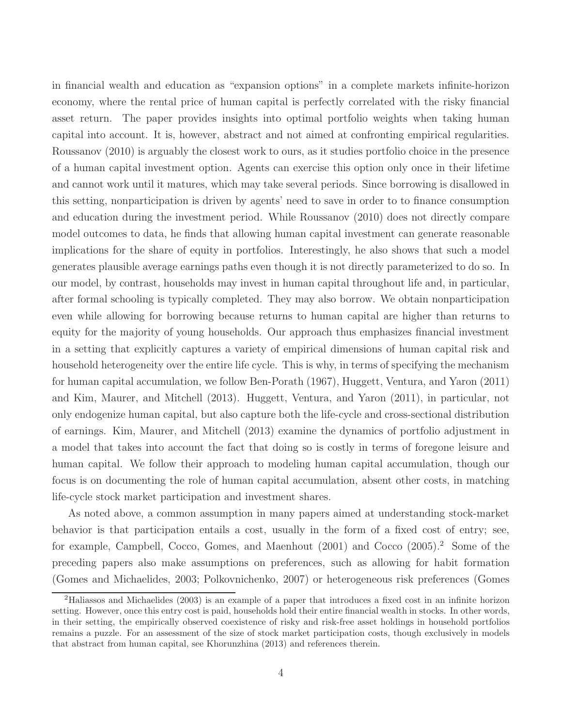in financial wealth and education as "expansion options" in a complete markets infinite-horizon economy, where the rental price of human capital is perfectly correlated with the risky financial asset return. The paper provides insights into optimal portfolio weights when taking human capital into account. It is, however, abstract and not aimed at confronting empirical regularities. Roussanov (2010) is arguably the closest work to ours, as it studies portfolio choice in the presence of a human capital investment option. Agents can exercise this option only once in their lifetime and cannot work until it matures, which may take several periods. Since borrowing is disallowed in this setting, nonparticipation is driven by agents' need to save in order to to finance consumption and education during the investment period. While Roussanov (2010) does not directly compare model outcomes to data, he finds that allowing human capital investment can generate reasonable implications for the share of equity in portfolios. Interestingly, he also shows that such a model generates plausible average earnings paths even though it is not directly parameterized to do so. In our model, by contrast, households may invest in human capital throughout life and, in particular, after formal schooling is typically completed. They may also borrow. We obtain nonparticipation even while allowing for borrowing because returns to human capital are higher than returns to equity for the majority of young households. Our approach thus emphasizes financial investment in a setting that explicitly captures a variety of empirical dimensions of human capital risk and household heterogeneity over the entire life cycle. This is why, in terms of specifying the mechanism for human capital accumulation, we follow Ben-Porath (1967), Huggett, Ventura, and Yaron (2011) and Kim, Maurer, and Mitchell (2013). Huggett, Ventura, and Yaron (2011), in particular, not only endogenize human capital, but also capture both the life-cycle and cross-sectional distribution of earnings. Kim, Maurer, and Mitchell (2013) examine the dynamics of portfolio adjustment in a model that takes into account the fact that doing so is costly in terms of foregone leisure and human capital. We follow their approach to modeling human capital accumulation, though our focus is on documenting the role of human capital accumulation, absent other costs, in matching life-cycle stock market participation and investment shares.

As noted above, a common assumption in many papers aimed at understanding stock-market behavior is that participation entails a cost, usually in the form of a fixed cost of entry; see, for example, Campbell, Cocco, Gomes, and Maenhout (2001) and Cocco (2005).<sup>2</sup> Some of the preceding papers also make assumptions on preferences, such as allowing for habit formation (Gomes and Michaelides, 2003; Polkovnichenko, 2007) or heterogeneous risk preferences (Gomes

<sup>2</sup>Haliassos and Michaelides (2003) is an example of a paper that introduces a fixed cost in an infinite horizon setting. However, once this entry cost is paid, households hold their entire financial wealth in stocks. In other words, in their setting, the empirically observed coexistence of risky and risk-free asset holdings in household portfolios remains a puzzle. For an assessment of the size of stock market participation costs, though exclusively in models that abstract from human capital, see Khorunzhina (2013) and references therein.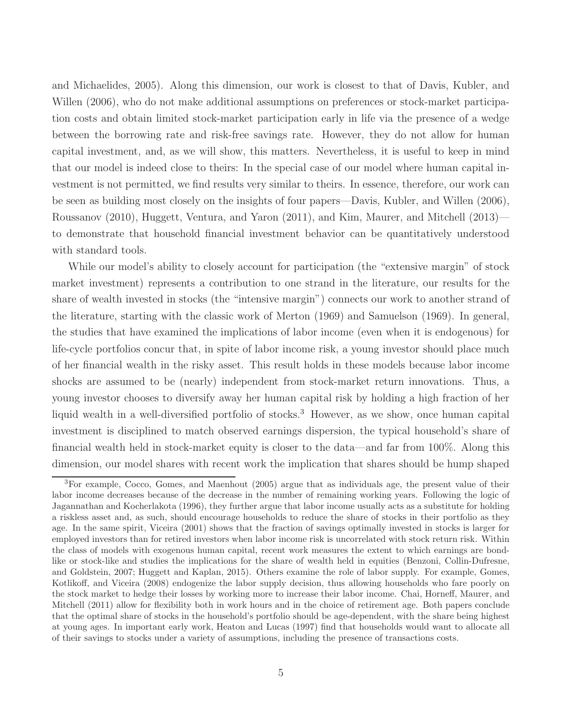and Michaelides, 2005). Along this dimension, our work is closest to that of Davis, Kubler, and Willen (2006), who do not make additional assumptions on preferences or stock-market participation costs and obtain limited stock-market participation early in life via the presence of a wedge between the borrowing rate and risk-free savings rate. However, they do not allow for human capital investment, and, as we will show, this matters. Nevertheless, it is useful to keep in mind that our model is indeed close to theirs: In the special case of our model where human capital investment is not permitted, we find results very similar to theirs. In essence, therefore, our work can be seen as building most closely on the insights of four papers—Davis, Kubler, and Willen (2006), Roussanov (2010), Huggett, Ventura, and Yaron (2011), and Kim, Maurer, and Mitchell (2013) to demonstrate that household financial investment behavior can be quantitatively understood with standard tools.

While our model's ability to closely account for participation (the "extensive margin" of stock market investment) represents a contribution to one strand in the literature, our results for the share of wealth invested in stocks (the "intensive margin") connects our work to another strand of the literature, starting with the classic work of Merton (1969) and Samuelson (1969). In general, the studies that have examined the implications of labor income (even when it is endogenous) for life-cycle portfolios concur that, in spite of labor income risk, a young investor should place much of her financial wealth in the risky asset. This result holds in these models because labor income shocks are assumed to be (nearly) independent from stock-market return innovations. Thus, a young investor chooses to diversify away her human capital risk by holding a high fraction of her liquid wealth in a well-diversified portfolio of stocks.<sup>3</sup> However, as we show, once human capital investment is disciplined to match observed earnings dispersion, the typical household's share of financial wealth held in stock-market equity is closer to the data—and far from 100%. Along this dimension, our model shares with recent work the implication that shares should be hump shaped

<sup>3</sup>For example, Cocco, Gomes, and Maenhout (2005) argue that as individuals age, the present value of their labor income decreases because of the decrease in the number of remaining working years. Following the logic of Jagannathan and Kocherlakota (1996), they further argue that labor income usually acts as a substitute for holding a riskless asset and, as such, should encourage households to reduce the share of stocks in their portfolio as they age. In the same spirit, Viceira (2001) shows that the fraction of savings optimally invested in stocks is larger for employed investors than for retired investors when labor income risk is uncorrelated with stock return risk. Within the class of models with exogenous human capital, recent work measures the extent to which earnings are bondlike or stock-like and studies the implications for the share of wealth held in equities (Benzoni, Collin-Dufresne, and Goldstein, 2007; Huggett and Kaplan, 2015). Others examine the role of labor supply. For example, Gomes, Kotlikoff, and Viceira (2008) endogenize the labor supply decision, thus allowing households who fare poorly on the stock market to hedge their losses by working more to increase their labor income. Chai, Horneff, Maurer, and Mitchell (2011) allow for flexibility both in work hours and in the choice of retirement age. Both papers conclude that the optimal share of stocks in the household's portfolio should be age-dependent, with the share being highest at young ages. In important early work, Heaton and Lucas (1997) find that households would want to allocate all of their savings to stocks under a variety of assumptions, including the presence of transactions costs.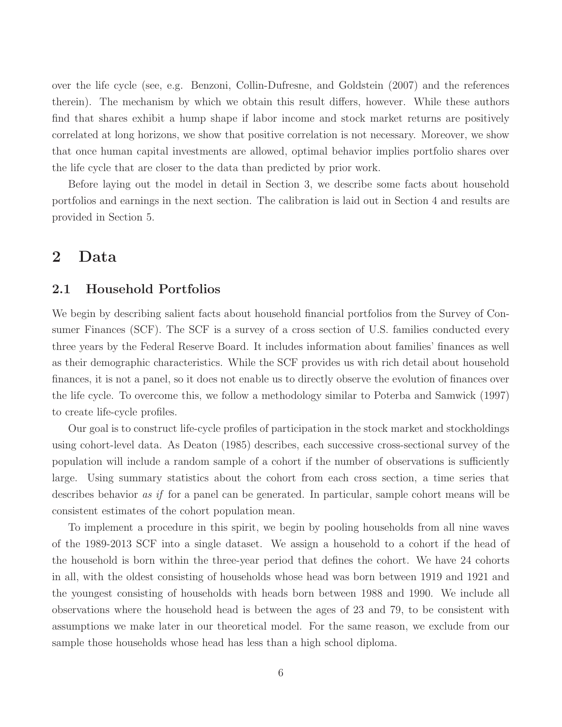over the life cycle (see, e.g. Benzoni, Collin-Dufresne, and Goldstein (2007) and the references therein). The mechanism by which we obtain this result differs, however. While these authors find that shares exhibit a hump shape if labor income and stock market returns are positively correlated at long horizons, we show that positive correlation is not necessary. Moreover, we show that once human capital investments are allowed, optimal behavior implies portfolio shares over the life cycle that are closer to the data than predicted by prior work.

Before laying out the model in detail in Section 3, we describe some facts about household portfolios and earnings in the next section. The calibration is laid out in Section 4 and results are provided in Section 5.

## 2 Data

### 2.1 Household Portfolios

We begin by describing salient facts about household financial portfolios from the Survey of Consumer Finances (SCF). The SCF is a survey of a cross section of U.S. families conducted every three years by the Federal Reserve Board. It includes information about families' finances as well as their demographic characteristics. While the SCF provides us with rich detail about household finances, it is not a panel, so it does not enable us to directly observe the evolution of finances over the life cycle. To overcome this, we follow a methodology similar to Poterba and Samwick (1997) to create life-cycle profiles.

Our goal is to construct life-cycle profiles of participation in the stock market and stockholdings using cohort-level data. As Deaton (1985) describes, each successive cross-sectional survey of the population will include a random sample of a cohort if the number of observations is sufficiently large. Using summary statistics about the cohort from each cross section, a time series that describes behavior *as if* for a panel can be generated. In particular, sample cohort means will be consistent estimates of the cohort population mean.

To implement a procedure in this spirit, we begin by pooling households from all nine waves of the 1989-2013 SCF into a single dataset. We assign a household to a cohort if the head of the household is born within the three-year period that defines the cohort. We have 24 cohorts in all, with the oldest consisting of households whose head was born between 1919 and 1921 and the youngest consisting of households with heads born between 1988 and 1990. We include all observations where the household head is between the ages of 23 and 79, to be consistent with assumptions we make later in our theoretical model. For the same reason, we exclude from our sample those households whose head has less than a high school diploma.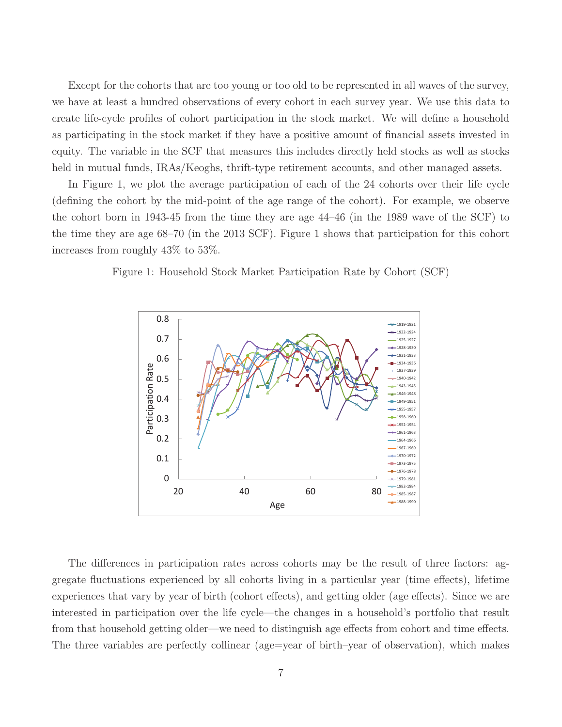Except for the cohorts that are too young or too old to be represented in all waves of the survey, we have at least a hundred observations of every cohort in each survey year. We use this data to create life-cycle profiles of cohort participation in the stock market. We will define a household as participating in the stock market if they have a positive amount of financial assets invested in equity. The variable in the SCF that measures this includes directly held stocks as well as stocks held in mutual funds, IRAs/Keoghs, thrift-type retirement accounts, and other managed assets.

In Figure 1, we plot the average participation of each of the 24 cohorts over their life cycle (defining the cohort by the mid-point of the age range of the cohort). For example, we observe the cohort born in 1943-45 from the time they are age 44–46 (in the 1989 wave of the SCF) to the time they are age 68–70 (in the 2013 SCF). Figure 1 shows that participation for this cohort increases from roughly 43% to 53%.





The differences in participation rates across cohorts may be the result of three factors: aggregate fluctuations experienced by all cohorts living in a particular year (time effects), lifetime experiences that vary by year of birth (cohort effects), and getting older (age effects). Since we are interested in participation over the life cycle—the changes in a household's portfolio that result from that household getting older—we need to distinguish age effects from cohort and time effects. The three variables are perfectly collinear (age=year of birth–year of observation), which makes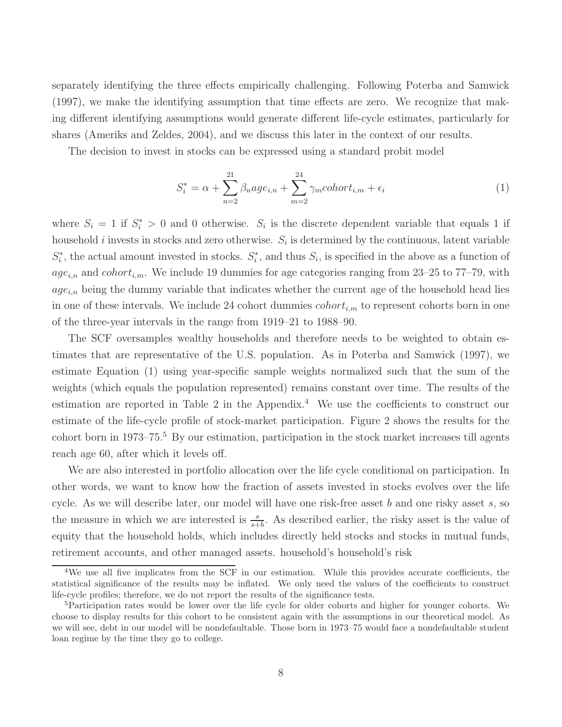separately identifying the three effects empirically challenging. Following Poterba and Samwick (1997), we make the identifying assumption that time effects are zero. We recognize that making different identifying assumptions would generate different life-cycle estimates, particularly for shares (Ameriks and Zeldes, 2004), and we discuss this later in the context of our results.

The decision to invest in stocks can be expressed using a standard probit model

$$
S_i^* = \alpha + \sum_{n=2}^{21} \beta_n a g e_{i,n} + \sum_{m=2}^{24} \gamma_m \text{cohort}_{i,m} + \epsilon_i
$$
 (1)

where  $S_i = 1$  if  $S_i^* > 0$  and 0 otherwise.  $S_i$  is the discrete dependent variable that equals 1 if household *i* invests in stocks and zero otherwise.  $S_i$  is determined by the continuous, latent variable  $S_i^*$ , the actual amount invested in stocks.  $S_i^*$ , and thus  $S_i$ , is specified in the above as a function of  $age_{i,n}$  and  $cohort_{i,m}$ . We include 19 dummies for age categories ranging from 23–25 to 77–79, with  $age_{i,n}$  being the dummy variable that indicates whether the current age of the household head lies in one of these intervals. We include 24 cohort dummies  $\text{cohort}_{i,m}$  to represent cohorts born in one of the three-year intervals in the range from 1919–21 to 1988–90.

The SCF oversamples wealthy households and therefore needs to be weighted to obtain estimates that are representative of the U.S. population. As in Poterba and Samwick (1997), we estimate Equation (1) using year-specific sample weights normalized such that the sum of the weights (which equals the population represented) remains constant over time. The results of the estimation are reported in Table 2 in the Appendix.<sup>4</sup> We use the coefficients to construct our estimate of the life-cycle profile of stock-market participation. Figure 2 shows the results for the cohort born in 1973–75.<sup>5</sup> By our estimation, participation in the stock market increases till agents reach age 60, after which it levels off.

We are also interested in portfolio allocation over the life cycle conditional on participation. In other words, we want to know how the fraction of assets invested in stocks evolves over the life cycle. As we will describe later, our model will have one risk-free asset b and one risky asset s, so the measure in which we are interested is  $\frac{s}{s+b}$ . As described earlier, the risky asset is the value of equity that the household holds, which includes directly held stocks and stocks in mutual funds, retirement accounts, and other managed assets. household's household's risk

<sup>&</sup>lt;sup>4</sup>We use all five implicates from the SCF in our estimation. While this provides accurate coefficients, the statistical significance of the results may be inflated. We only need the values of the coefficients to construct life-cycle profiles; therefore, we do not report the results of the significance tests.

<sup>5</sup>Participation rates would be lower over the life cycle for older cohorts and higher for younger cohorts. We choose to display results for this cohort to be consistent again with the assumptions in our theoretical model. As we will see, debt in our model will be nondefaultable. Those born in 1973–75 would face a nondefaultable student loan regime by the time they go to college.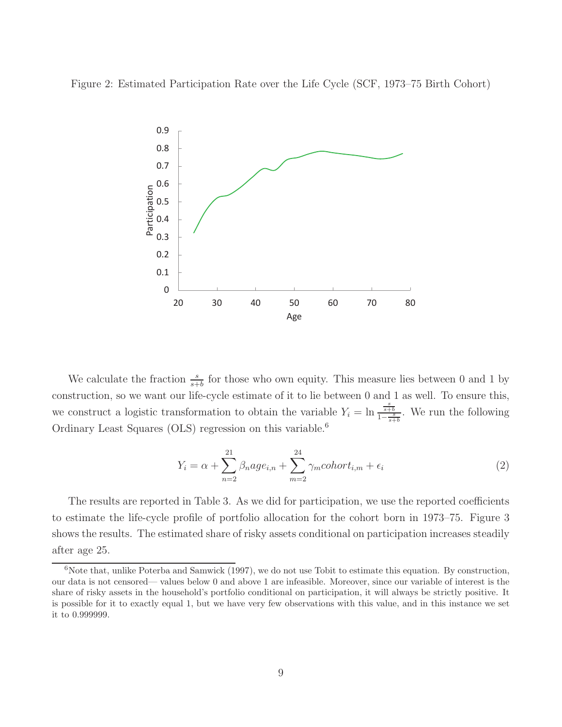Figure 2: Estimated Participation Rate over the Life Cycle (SCF, 1973–75 Birth Cohort)



We calculate the fraction  $\frac{s}{s+b}$  for those who own equity. This measure lies between 0 and 1 by construction, so we want our life-cycle estimate of it to lie between 0 and 1 as well. To ensure this, we construct a logistic transformation to obtain the variable  $Y_i = \ln \frac{s}{1 - \frac{s}{s+b}}$ . We run the following Ordinary Least Squares (OLS) regression on this variable.<sup>6</sup>

$$
Y_i = \alpha + \sum_{n=2}^{21} \beta_n a g e_{i,n} + \sum_{m=2}^{24} \gamma_m \text{cohort}_{i,m} + \epsilon_i
$$
\n
$$
\tag{2}
$$

The results are reported in Table 3. As we did for participation, we use the reported coefficients to estimate the life-cycle profile of portfolio allocation for the cohort born in 1973–75. Figure 3 shows the results. The estimated share of risky assets conditional on participation increases steadily after age 25.

 $6$ Note that, unlike Poterba and Samwick (1997), we do not use Tobit to estimate this equation. By construction, our data is not censored— values below 0 and above 1 are infeasible. Moreover, since our variable of interest is the share of risky assets in the household's portfolio conditional on participation, it will always be strictly positive. It is possible for it to exactly equal 1, but we have very few observations with this value, and in this instance we set it to 0.999999.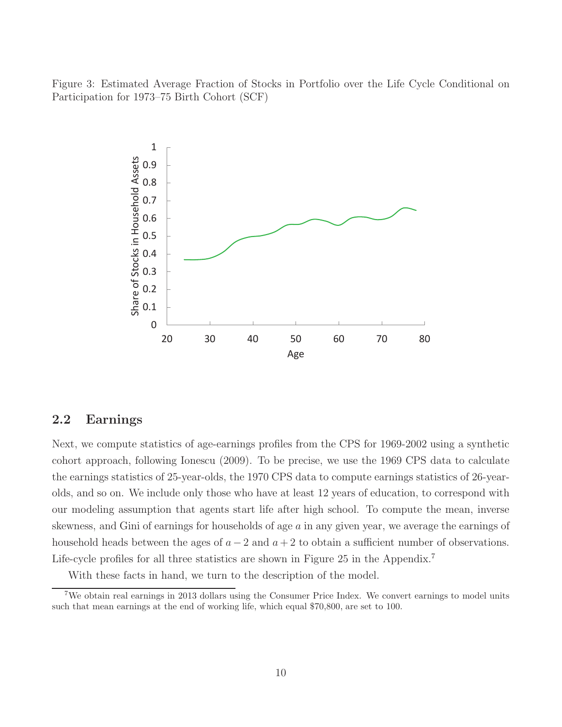Figure 3: Estimated Average Fraction of Stocks in Portfolio over the Life Cycle Conditional on Participation for 1973–75 Birth Cohort (SCF)



### 2.2 Earnings

Next, we compute statistics of age-earnings profiles from the CPS for 1969-2002 using a synthetic cohort approach, following Ionescu (2009). To be precise, we use the 1969 CPS data to calculate the earnings statistics of 25-year-olds, the 1970 CPS data to compute earnings statistics of 26-yearolds, and so on. We include only those who have at least 12 years of education, to correspond with our modeling assumption that agents start life after high school. To compute the mean, inverse skewness, and Gini of earnings for households of age a in any given year, we average the earnings of household heads between the ages of  $a - 2$  and  $a + 2$  to obtain a sufficient number of observations. Life-cycle profiles for all three statistics are shown in Figure 25 in the Appendix.<sup>7</sup>

With these facts in hand, we turn to the description of the model.

<sup>&</sup>lt;sup>7</sup>We obtain real earnings in 2013 dollars using the Consumer Price Index. We convert earnings to model units such that mean earnings at the end of working life, which equal \$70,800, are set to 100.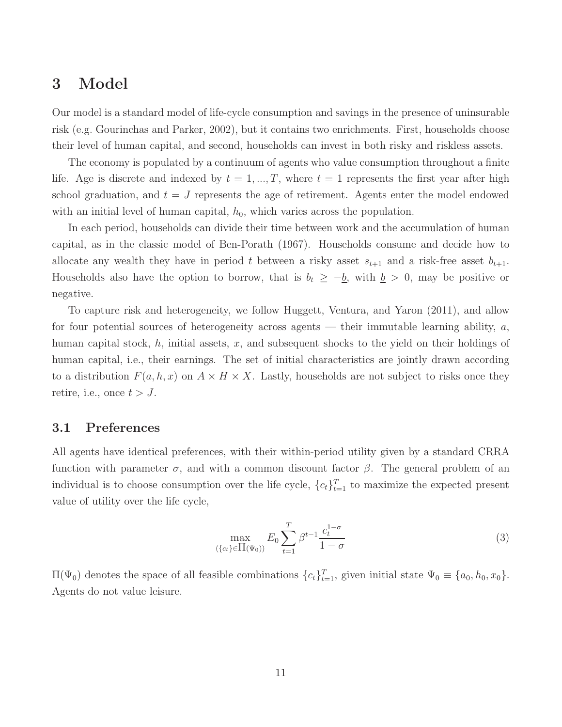# 3 Model

Our model is a standard model of life-cycle consumption and savings in the presence of uninsurable risk (e.g. Gourinchas and Parker, 2002), but it contains two enrichments. First, households choose their level of human capital, and second, households can invest in both risky and riskless assets.

The economy is populated by a continuum of agents who value consumption throughout a finite life. Age is discrete and indexed by  $t = 1, ..., T$ , where  $t = 1$  represents the first year after high school graduation, and  $t = J$  represents the age of retirement. Agents enter the model endowed with an initial level of human capital,  $h_0$ , which varies across the population.

In each period, households can divide their time between work and the accumulation of human capital, as in the classic model of Ben-Porath (1967). Households consume and decide how to allocate any wealth they have in period t between a risky asset  $s_{t+1}$  and a risk-free asset  $b_{t+1}$ . Households also have the option to borrow, that is  $b_t \geq -b$ , with  $b > 0$ , may be positive or negative.

To capture risk and heterogeneity, we follow Huggett, Ventura, and Yaron (2011), and allow for four potential sources of heterogeneity across agents — their immutable learning ability,  $a$ , human capital stock,  $h$ , initial assets,  $x$ , and subsequent shocks to the yield on their holdings of human capital, i.e., their earnings. The set of initial characteristics are jointly drawn according to a distribution  $F(a, h, x)$  on  $A \times H \times X$ . Lastly, households are not subject to risks once they retire, i.e., once  $t > J$ .

#### 3.1 Preferences

All agents have identical preferences, with their within-period utility given by a standard CRRA function with parameter  $\sigma$ , and with a common discount factor  $\beta$ . The general problem of an individual is to choose consumption over the life cycle,  ${c_t}_{t=1}^T$  to maximize the expected present value of utility over the life cycle,

$$
\max_{(\{c_t\} \in \Pi(\Psi_0))} E_0 \sum_{t=1}^T \beta^{t-1} \frac{c_t^{1-\sigma}}{1-\sigma}
$$
 (3)

 $\Pi(\Psi_0)$  denotes the space of all feasible combinations  $\{c_t\}_{t=1}^T$ , given initial state  $\Psi_0 \equiv \{a_0, h_0, x_0\}$ . Agents do not value leisure.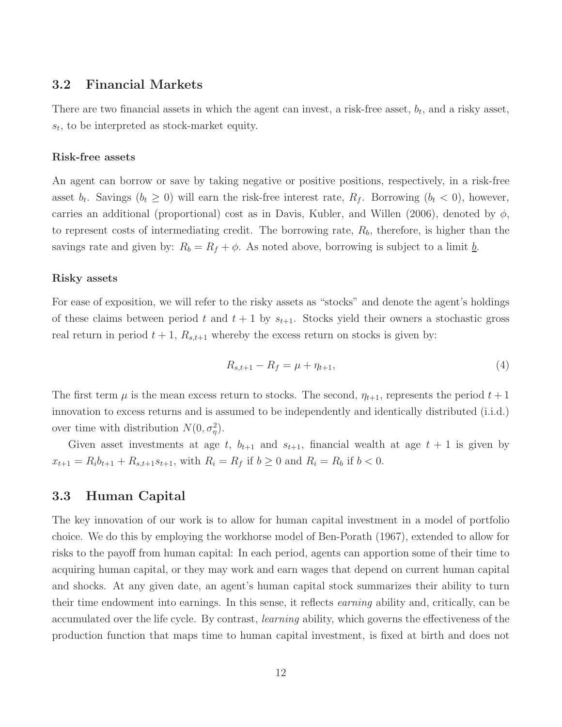#### 3.2 Financial Markets

There are two financial assets in which the agent can invest, a risk-free asset,  $b_t$ , and a risky asset,  $s_t$ , to be interpreted as stock-market equity.

#### Risk-free assets

An agent can borrow or save by taking negative or positive positions, respectively, in a risk-free asset  $b_t$ . Savings  $(b_t \geq 0)$  will earn the risk-free interest rate,  $R_f$ . Borrowing  $(b_t < 0)$ , however, carries an additional (proportional) cost as in Davis, Kubler, and Willen (2006), denoted by  $\phi$ , to represent costs of intermediating credit. The borrowing rate,  $R_b$ , therefore, is higher than the savings rate and given by:  $R_b = R_f + \phi$ . As noted above, borrowing is subject to a limit  $\underline{b}$ .

#### Risky assets

For ease of exposition, we will refer to the risky assets as "stocks" and denote the agent's holdings of these claims between period t and  $t + 1$  by  $s_{t+1}$ . Stocks yield their owners a stochastic gross real return in period  $t + 1$ ,  $R_{s,t+1}$  whereby the excess return on stocks is given by:

$$
R_{s,t+1} - R_f = \mu + \eta_{t+1},\tag{4}
$$

The first term  $\mu$  is the mean excess return to stocks. The second,  $\eta_{t+1}$ , represents the period  $t+1$ innovation to excess returns and is assumed to be independently and identically distributed (i.i.d.) over time with distribution  $N(0, \sigma_{\eta}^2)$ .

Given asset investments at age t,  $b_{t+1}$  and  $s_{t+1}$ , financial wealth at age  $t + 1$  is given by  $x_{t+1} = R_i b_{t+1} + R_{s,t+1} s_{t+1}$ , with  $R_i = R_f$  if  $b \ge 0$  and  $R_i = R_b$  if  $b < 0$ .

#### 3.3 Human Capital

The key innovation of our work is to allow for human capital investment in a model of portfolio choice. We do this by employing the workhorse model of Ben-Porath (1967), extended to allow for risks to the payoff from human capital: In each period, agents can apportion some of their time to acquiring human capital, or they may work and earn wages that depend on current human capital and shocks. At any given date, an agent's human capital stock summarizes their ability to turn their time endowment into earnings. In this sense, it reflects earning ability and, critically, can be accumulated over the life cycle. By contrast, learning ability, which governs the effectiveness of the production function that maps time to human capital investment, is fixed at birth and does not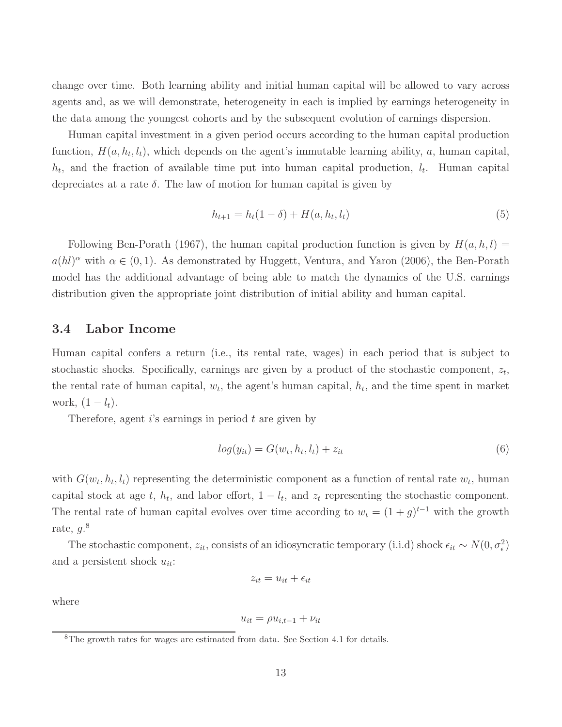change over time. Both learning ability and initial human capital will be allowed to vary across agents and, as we will demonstrate, heterogeneity in each is implied by earnings heterogeneity in the data among the youngest cohorts and by the subsequent evolution of earnings dispersion.

Human capital investment in a given period occurs according to the human capital production function,  $H(a, h_t, l_t)$ , which depends on the agent's immutable learning ability, a, human capital,  $h_t$ , and the fraction of available time put into human capital production,  $l_t$ . Human capital depreciates at a rate  $\delta$ . The law of motion for human capital is given by

$$
h_{t+1} = h_t(1 - \delta) + H(a, h_t, l_t)
$$
\n(5)

Following Ben-Porath (1967), the human capital production function is given by  $H(a, h, l) =$  $a(hl)^\alpha$  with  $\alpha \in (0,1)$ . As demonstrated by Huggett, Ventura, and Yaron (2006), the Ben-Porath model has the additional advantage of being able to match the dynamics of the U.S. earnings distribution given the appropriate joint distribution of initial ability and human capital.

#### 3.4 Labor Income

Human capital confers a return (i.e., its rental rate, wages) in each period that is subject to stochastic shocks. Specifically, earnings are given by a product of the stochastic component,  $z_t$ , the rental rate of human capital,  $w_t$ , the agent's human capital,  $h_t$ , and the time spent in market work,  $(1 - l_t)$ .

Therefore, agent  $i$ 's earnings in period  $t$  are given by

$$
log(y_{it}) = G(w_t, h_t, l_t) + z_{it}
$$
\n
$$
(6)
$$

with  $G(w_t, h_t, l_t)$  representing the deterministic component as a function of rental rate  $w_t$ , human capital stock at age t,  $h_t$ , and labor effort,  $1 - l_t$ , and  $z_t$  representing the stochastic component. The rental rate of human capital evolves over time according to  $w_t = (1 + g)^{t-1}$  with the growth rate,  $g$ .<sup>8</sup>

The stochastic component,  $z_{it}$ , consists of an idiosyncratic temporary (i.i.d) shock  $\epsilon_{it} \sim N(0, \sigma_{\epsilon}^2)$ and a persistent shock  $u_{it}$ :

$$
z_{it} = u_{it} + \epsilon_{it}
$$

where

$$
u_{it} = \rho u_{i,t-1} + \nu_{it}
$$

<sup>8</sup>The growth rates for wages are estimated from data. See Section 4.1 for details.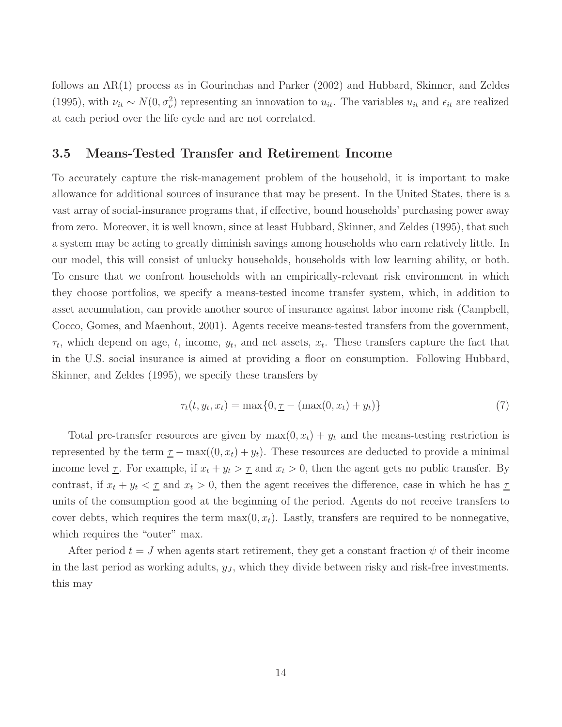follows an AR(1) process as in Gourinchas and Parker (2002) and Hubbard, Skinner, and Zeldes (1995), with  $\nu_{it} \sim N(0, \sigma_{\nu}^2)$  representing an innovation to  $u_{it}$ . The variables  $u_{it}$  and  $\epsilon_{it}$  are realized at each period over the life cycle and are not correlated.

#### 3.5 Means-Tested Transfer and Retirement Income

To accurately capture the risk-management problem of the household, it is important to make allowance for additional sources of insurance that may be present. In the United States, there is a vast array of social-insurance programs that, if effective, bound households' purchasing power away from zero. Moreover, it is well known, since at least Hubbard, Skinner, and Zeldes (1995), that such a system may be acting to greatly diminish savings among households who earn relatively little. In our model, this will consist of unlucky households, households with low learning ability, or both. To ensure that we confront households with an empirically-relevant risk environment in which they choose portfolios, we specify a means-tested income transfer system, which, in addition to asset accumulation, can provide another source of insurance against labor income risk (Campbell, Cocco, Gomes, and Maenhout, 2001). Agents receive means-tested transfers from the government,  $\tau_t$ , which depend on age, t, income,  $y_t$ , and net assets,  $x_t$ . These transfers capture the fact that in the U.S. social insurance is aimed at providing a floor on consumption. Following Hubbard, Skinner, and Zeldes (1995), we specify these transfers by

$$
\tau_t(t, y_t, x_t) = \max\{0, \underline{\tau} - (\max(0, x_t) + y_t)\}\tag{7}
$$

Total pre-transfer resources are given by  $max(0, x_t) + y_t$  and the means-testing restriction is represented by the term  $\underline{\tau} - \max((0, x_t) + y_t)$ . These resources are deducted to provide a minimal income level  $\underline{\tau}$ . For example, if  $x_t + y_t > \underline{\tau}$  and  $x_t > 0$ , then the agent gets no public transfer. By contrast, if  $x_t + y_t < \tau$  and  $x_t > 0$ , then the agent receives the difference, case in which he has  $\tau$ units of the consumption good at the beginning of the period. Agents do not receive transfers to cover debts, which requires the term  $\max(0, x_t)$ . Lastly, transfers are required to be nonnegative, which requires the "outer" max.

After period  $t = J$  when agents start retirement, they get a constant fraction  $\psi$  of their income in the last period as working adults,  $y<sub>J</sub>$ , which they divide between risky and risk-free investments. this may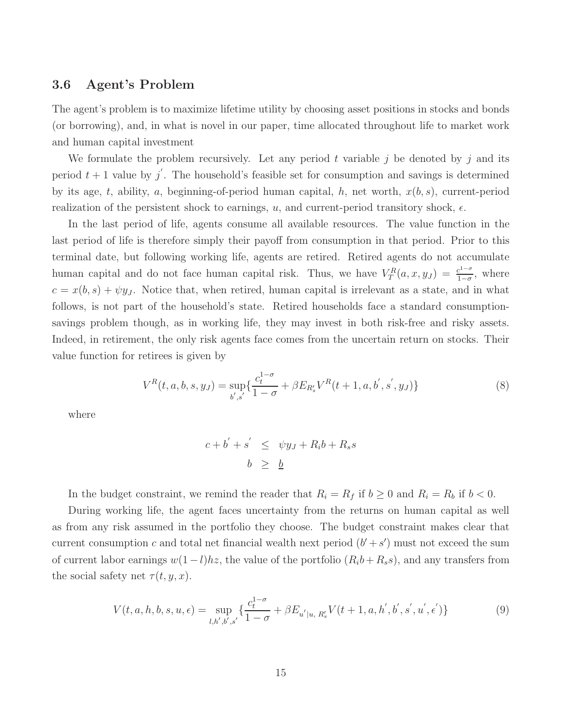#### 3.6 Agent's Problem

The agent's problem is to maximize lifetime utility by choosing asset positions in stocks and bonds (or borrowing), and, in what is novel in our paper, time allocated throughout life to market work and human capital investment

We formulate the problem recursively. Let any period t variable j be denoted by j and its period  $t + 1$  value by  $j'$ . The household's feasible set for consumption and savings is determined by its age, t, ability, a, beginning-of-period human capital, h, net worth,  $x(b, s)$ , current-period realization of the persistent shock to earnings, u, and current-period transitory shock,  $\epsilon$ .

In the last period of life, agents consume all available resources. The value function in the last period of life is therefore simply their payoff from consumption in that period. Prior to this terminal date, but following working life, agents are retired. Retired agents do not accumulate human capital and do not face human capital risk. Thus, we have  $V_T^R(a,x,y_J) = \frac{c^{1-\sigma}}{1-\sigma}$  $\frac{c^{1-\sigma}}{1-\sigma}$ , where  $c = x(b, s) + \psi y_J$ . Notice that, when retired, human capital is irrelevant as a state, and in what follows, is not part of the household's state. Retired households face a standard consumptionsavings problem though, as in working life, they may invest in both risk-free and risky assets. Indeed, in retirement, the only risk agents face comes from the uncertain return on stocks. Their value function for retirees is given by

$$
V^{R}(t, a, b, s, y_{J}) = \sup_{b', s'} \{ \frac{c_{t}^{1-\sigma}}{1-\sigma} + \beta E_{R'_{s}} V^{R}(t+1, a, b', s', y_{J}) \}
$$
(8)

where

$$
c + b' + s' \leq \psi y_J + R_i b + R_s s
$$
  

$$
b \geq \underline{b}
$$

In the budget constraint, we remind the reader that  $R_i = R_f$  if  $b \ge 0$  and  $R_i = R_b$  if  $b < 0$ .

During working life, the agent faces uncertainty from the returns on human capital as well as from any risk assumed in the portfolio they choose. The budget constraint makes clear that current consumption c and total net financial wealth next period  $(b' + s')$  must not exceed the sum of current labor earnings  $w(1 - l)hz$ , the value of the portfolio  $(R_ib + R_is)$ , and any transfers from the social safety net  $\tau(t, y, x)$ .

$$
V(t, a, h, b, s, u, \epsilon) = \sup_{l, h', b', s'} \{ \frac{c_t^{1-\sigma}}{1-\sigma} + \beta E_{u'|u, R'_s} V(t+1, a, h', b', s', u', \epsilon') \}
$$
(9)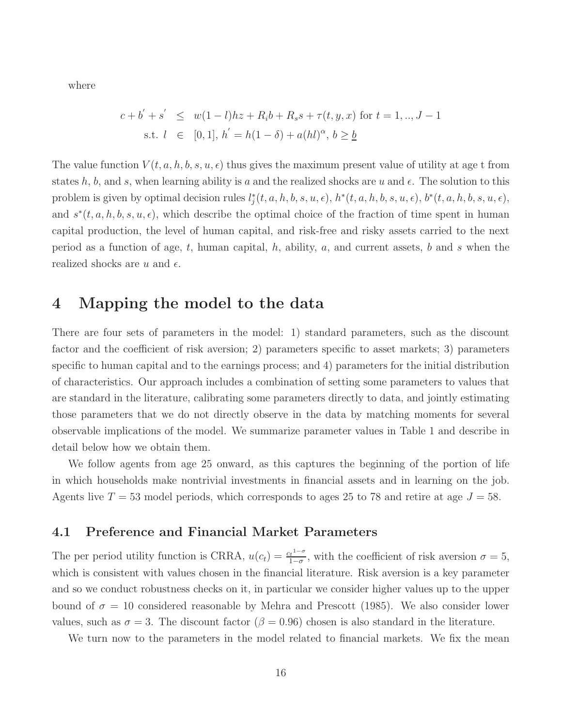where

$$
c + b' + s' \le w(1 - l)hz + R_i b + R_s s + \tau(t, y, x) \text{ for } t = 1, ..., J - 1
$$
  
s.t.  $l \in [0, 1], h' = h(1 - \delta) + a(hl)^{\alpha}, b \ge \underline{b}$ 

The value function  $V(t, a, h, b, s, u, \epsilon)$  thus gives the maximum present value of utility at age t from states h, b, and s, when learning ability is a and the realized shocks are u and  $\epsilon$ . The solution to this problem is given by optimal decision rules  $l_j^*(t, a, h, b, s, u, \epsilon)$ ,  $h^*(t, a, h, b, s, u, \epsilon)$ ,  $b^*(t, a, h, b, s, u, \epsilon)$ , and  $s^*(t, a, h, b, s, u, \epsilon)$ , which describe the optimal choice of the fraction of time spent in human capital production, the level of human capital, and risk-free and risky assets carried to the next period as a function of age, t, human capital, h, ability, a, and current assets, b and s when the realized shocks are u and  $\epsilon$ .

## 4 Mapping the model to the data

There are four sets of parameters in the model: 1) standard parameters, such as the discount factor and the coefficient of risk aversion; 2) parameters specific to asset markets; 3) parameters specific to human capital and to the earnings process; and 4) parameters for the initial distribution of characteristics. Our approach includes a combination of setting some parameters to values that are standard in the literature, calibrating some parameters directly to data, and jointly estimating those parameters that we do not directly observe in the data by matching moments for several observable implications of the model. We summarize parameter values in Table 1 and describe in detail below how we obtain them.

We follow agents from age 25 onward, as this captures the beginning of the portion of life in which households make nontrivial investments in financial assets and in learning on the job. Agents live  $T = 53$  model periods, which corresponds to ages 25 to 78 and retire at age  $J = 58$ .

### 4.1 Preference and Financial Market Parameters

The per period utility function is CRRA,  $u(c_t) = \frac{c_t^{1-\sigma}}{1-\sigma}$  $\frac{t^{1-\sigma}}{1-\sigma}$ , with the coefficient of risk aversion  $\sigma = 5$ , which is consistent with values chosen in the financial literature. Risk aversion is a key parameter and so we conduct robustness checks on it, in particular we consider higher values up to the upper bound of  $\sigma = 10$  considered reasonable by Mehra and Prescott (1985). We also consider lower values, such as  $\sigma = 3$ . The discount factor ( $\beta = 0.96$ ) chosen is also standard in the literature.

We turn now to the parameters in the model related to financial markets. We fix the mean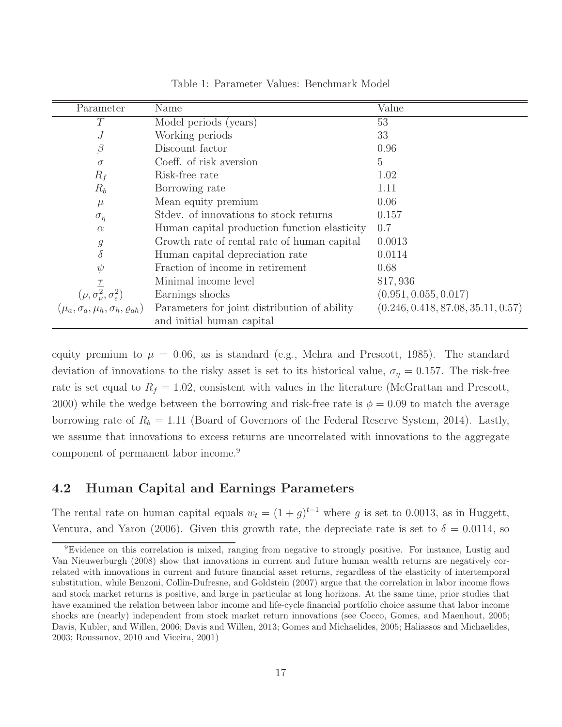| Parameter                                                                                           | Name                                                                      | Value                              |
|-----------------------------------------------------------------------------------------------------|---------------------------------------------------------------------------|------------------------------------|
| T                                                                                                   | Model periods (years)                                                     | 53                                 |
| J                                                                                                   | Working periods                                                           | 33                                 |
|                                                                                                     | Discount factor                                                           | 0.96                               |
| $\sigma$                                                                                            | Coeff. of risk aversion                                                   | 5                                  |
| $R_f$                                                                                               | Risk-free rate                                                            | 1.02                               |
| $R_b$                                                                                               | Borrowing rate                                                            | 1.11                               |
| $\mu$                                                                                               | Mean equity premium                                                       | 0.06                               |
| $\sigma_{\eta}$                                                                                     | Stdev. of innovations to stock returns                                    | 0.157                              |
| $\alpha$                                                                                            | Human capital production function elasticity                              | 0.7                                |
| $\mathcal G$                                                                                        | Growth rate of rental rate of human capital                               | 0.0013                             |
| $\delta$                                                                                            | Human capital depreciation rate                                           | 0.0114                             |
| $\psi$                                                                                              | Fraction of income in retirement                                          | 0.68                               |
|                                                                                                     | Minimal income level                                                      | \$17,936                           |
| $(\rho, \sigma_{\nu}^2, \sigma_{\epsilon}^2)$<br>$(\mu_a, \sigma_a, \mu_h, \sigma_h, \varrho_{ah})$ | Earnings shocks                                                           | (0.951, 0.055, 0.017)              |
|                                                                                                     | Parameters for joint distribution of ability<br>and initial human capital | (0.246, 0.418, 87.08, 35.11, 0.57) |

Table 1: Parameter Values: Benchmark Model

equity premium to  $\mu = 0.06$ , as is standard (e.g., Mehra and Prescott, 1985). The standard deviation of innovations to the risky asset is set to its historical value,  $\sigma_{\eta} = 0.157$ . The risk-free rate is set equal to  $R_f = 1.02$ , consistent with values in the literature (McGrattan and Prescott, 2000) while the wedge between the borrowing and risk-free rate is  $\phi = 0.09$  to match the average borrowing rate of  $R_b = 1.11$  (Board of Governors of the Federal Reserve System, 2014). Lastly, we assume that innovations to excess returns are uncorrelated with innovations to the aggregate component of permanent labor income.<sup>9</sup>

## 4.2 Human Capital and Earnings Parameters

The rental rate on human capital equals  $w_t = (1 + g)^{t-1}$  where g is set to 0.0013, as in Huggett, Ventura, and Yaron (2006). Given this growth rate, the depreciate rate is set to  $\delta = 0.0114$ , so

<sup>9</sup>Evidence on this correlation is mixed, ranging from negative to strongly positive. For instance, Lustig and Van Nieuwerburgh (2008) show that innovations in current and future human wealth returns are negatively correlated with innovations in current and future financial asset returns, regardless of the elasticity of intertemporal substitution, while Benzoni, Collin-Dufresne, and Goldstein (2007) argue that the correlation in labor income flows and stock market returns is positive, and large in particular at long horizons. At the same time, prior studies that have examined the relation between labor income and life-cycle financial portfolio choice assume that labor income shocks are (nearly) independent from stock market return innovations (see Cocco, Gomes, and Maenhout, 2005; Davis, Kubler, and Willen, 2006; Davis and Willen, 2013; Gomes and Michaelides, 2005; Haliassos and Michaelides, 2003; Roussanov, 2010 and Viceira, 2001)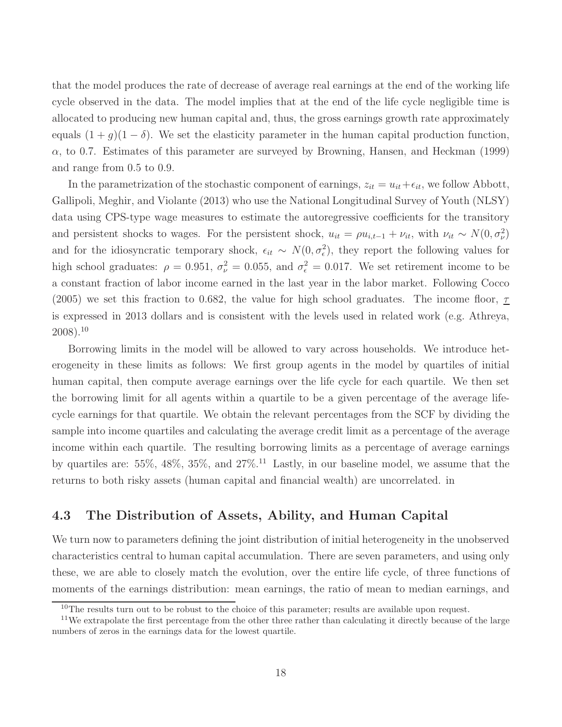that the model produces the rate of decrease of average real earnings at the end of the working life cycle observed in the data. The model implies that at the end of the life cycle negligible time is allocated to producing new human capital and, thus, the gross earnings growth rate approximately equals  $(1 + g)(1 - \delta)$ . We set the elasticity parameter in the human capital production function,  $\alpha$ , to 0.7. Estimates of this parameter are surveyed by Browning, Hansen, and Heckman (1999) and range from 0.5 to 0.9.

In the parametrization of the stochastic component of earnings,  $z_{it} = u_{it} + \epsilon_{it}$ , we follow Abbott, Gallipoli, Meghir, and Violante (2013) who use the National Longitudinal Survey of Youth (NLSY) data using CPS-type wage measures to estimate the autoregressive coefficients for the transitory and persistent shocks to wages. For the persistent shock,  $u_{it} = \rho u_{i,t-1} + \nu_{it}$ , with  $\nu_{it} \sim N(0, \sigma_{\nu}^2)$ and for the idiosyncratic temporary shock,  $\epsilon_{it} \sim N(0, \sigma_{\epsilon}^2)$ , they report the following values for high school graduates:  $\rho = 0.951$ ,  $\sigma_{\nu}^2 = 0.055$ , and  $\sigma_{\epsilon}^2 = 0.017$ . We set retirement income to be a constant fraction of labor income earned in the last year in the labor market. Following Cocco (2005) we set this fraction to 0.682, the value for high school graduates. The income floor,  $\tau$ is expressed in 2013 dollars and is consistent with the levels used in related work (e.g. Athreya,  $2008$ ).<sup>10</sup>

Borrowing limits in the model will be allowed to vary across households. We introduce heterogeneity in these limits as follows: We first group agents in the model by quartiles of initial human capital, then compute average earnings over the life cycle for each quartile. We then set the borrowing limit for all agents within a quartile to be a given percentage of the average lifecycle earnings for that quartile. We obtain the relevant percentages from the SCF by dividing the sample into income quartiles and calculating the average credit limit as a percentage of the average income within each quartile. The resulting borrowing limits as a percentage of average earnings by quartiles are:  $55\%, 48\%, 35\%, \text{ and } 27\%$ .<sup>11</sup> Lastly, in our baseline model, we assume that the returns to both risky assets (human capital and financial wealth) are uncorrelated. in

#### 4.3 The Distribution of Assets, Ability, and Human Capital

We turn now to parameters defining the joint distribution of initial heterogeneity in the unobserved characteristics central to human capital accumulation. There are seven parameters, and using only these, we are able to closely match the evolution, over the entire life cycle, of three functions of moments of the earnings distribution: mean earnings, the ratio of mean to median earnings, and

<sup>&</sup>lt;sup>10</sup>The results turn out to be robust to the choice of this parameter; results are available upon request.

<sup>&</sup>lt;sup>11</sup>We extrapolate the first percentage from the other three rather than calculating it directly because of the large numbers of zeros in the earnings data for the lowest quartile.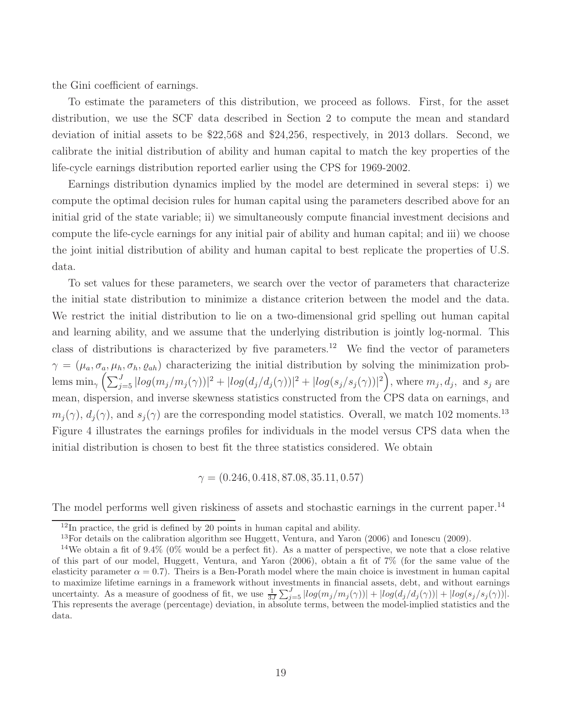the Gini coefficient of earnings.

To estimate the parameters of this distribution, we proceed as follows. First, for the asset distribution, we use the SCF data described in Section 2 to compute the mean and standard deviation of initial assets to be \$22,568 and \$24,256, respectively, in 2013 dollars. Second, we calibrate the initial distribution of ability and human capital to match the key properties of the life-cycle earnings distribution reported earlier using the CPS for 1969-2002.

Earnings distribution dynamics implied by the model are determined in several steps: i) we compute the optimal decision rules for human capital using the parameters described above for an initial grid of the state variable; ii) we simultaneously compute financial investment decisions and compute the life-cycle earnings for any initial pair of ability and human capital; and iii) we choose the joint initial distribution of ability and human capital to best replicate the properties of U.S. data.

To set values for these parameters, we search over the vector of parameters that characterize the initial state distribution to minimize a distance criterion between the model and the data. We restrict the initial distribution to lie on a two-dimensional grid spelling out human capital and learning ability, and we assume that the underlying distribution is jointly log-normal. This class of distributions is characterized by five parameters.<sup>12</sup> We find the vector of parameters  $\gamma = (\mu_a, \sigma_a, \mu_h, \sigma_h, \varrho_{ah})$  characterizing the initial distribution by solving the minimization prob- $\lim_{\gamma} \left( \sum_{j=5}^J |log(m_j/m_j(\gamma))|^2 + |log(d_j/d_j(\gamma))|^2 + |log(s_j/s_j(\gamma))|^2 \right)$ , where  $m_j, d_j$ , and  $s_j$  are mean, dispersion, and inverse skewness statistics constructed from the CPS data on earnings, and  $m_i(\gamma)$ ,  $d_i(\gamma)$ , and  $s_i(\gamma)$  are the corresponding model statistics. Overall, we match 102 moments.<sup>13</sup> Figure 4 illustrates the earnings profiles for individuals in the model versus CPS data when the initial distribution is chosen to best fit the three statistics considered. We obtain

$$
\gamma = (0.246, 0.418, 87.08, 35.11, 0.57)
$$

The model performs well given riskiness of assets and stochastic earnings in the current paper.<sup>14</sup>

 $12$ In practice, the grid is defined by 20 points in human capital and ability.

 $13$ For details on the calibration algorithm see Huggett, Ventura, and Yaron (2006) and Ionescu (2009).

<sup>&</sup>lt;sup>14</sup>We obtain a fit of  $9.4\%$  (0% would be a perfect fit). As a matter of perspective, we note that a close relative of this part of our model, Huggett, Ventura, and Yaron (2006), obtain a fit of 7% (for the same value of the elasticity parameter  $\alpha = 0.7$ . Theirs is a Ben-Porath model where the main choice is investment in human capital to maximize lifetime earnings in a framework without investments in financial assets, debt, and without earnings uncertainty. As a measure of goodness of fit, we use  $\frac{1}{3J}\sum_{j=5}^{J} |log(m_j/m_j(\gamma))| + |log(d_j/d_j(\gamma))| + |log(s_j/s_j(\gamma))|$ . This represents the average (percentage) deviation, in absolute terms, between the model-implied statistics and the data.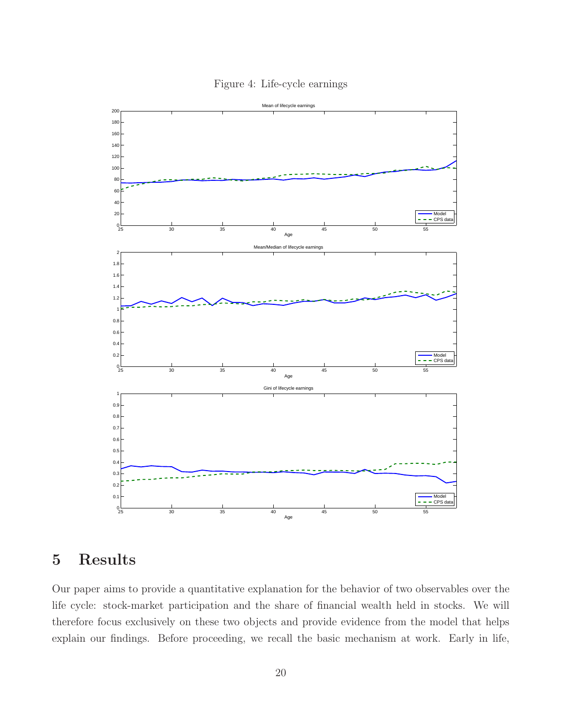

Figure 4: Life-cycle earnings

# 5 Results

Our paper aims to provide a quantitative explanation for the behavior of two observables over the life cycle: stock-market participation and the share of financial wealth held in stocks. We will therefore focus exclusively on these two objects and provide evidence from the model that helps explain our findings. Before proceeding, we recall the basic mechanism at work. Early in life,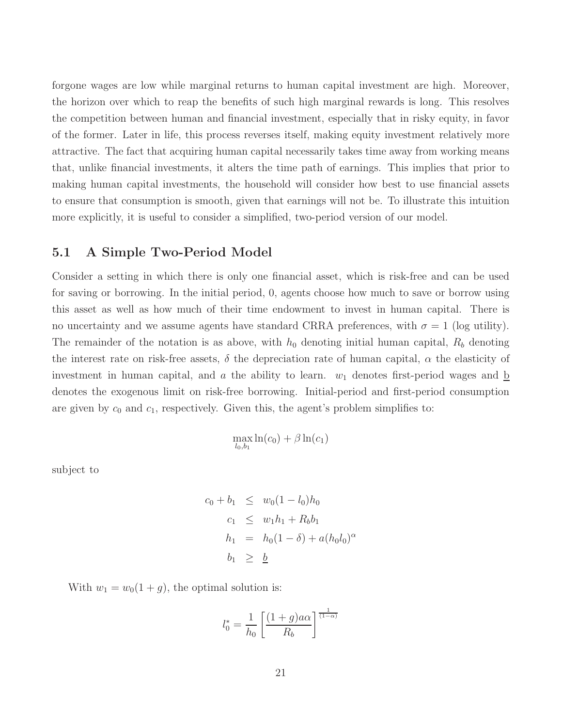forgone wages are low while marginal returns to human capital investment are high. Moreover, the horizon over which to reap the benefits of such high marginal rewards is long. This resolves the competition between human and financial investment, especially that in risky equity, in favor of the former. Later in life, this process reverses itself, making equity investment relatively more attractive. The fact that acquiring human capital necessarily takes time away from working means that, unlike financial investments, it alters the time path of earnings. This implies that prior to making human capital investments, the household will consider how best to use financial assets to ensure that consumption is smooth, given that earnings will not be. To illustrate this intuition more explicitly, it is useful to consider a simplified, two-period version of our model.

### 5.1 A Simple Two-Period Model

Consider a setting in which there is only one financial asset, which is risk-free and can be used for saving or borrowing. In the initial period, 0, agents choose how much to save or borrow using this asset as well as how much of their time endowment to invest in human capital. There is no uncertainty and we assume agents have standard CRRA preferences, with  $\sigma = 1$  (log utility). The remainder of the notation is as above, with  $h_0$  denoting initial human capital,  $R_b$  denoting the interest rate on risk-free assets,  $\delta$  the depreciation rate of human capital,  $\alpha$  the elasticity of investment in human capital, and a the ability to learn.  $w_1$  denotes first-period wages and b denotes the exogenous limit on risk-free borrowing. Initial-period and first-period consumption are given by  $c_0$  and  $c_1$ , respectively. Given this, the agent's problem simplifies to:

$$
\max_{l_0,b_1}\ln(c_0)+\beta\ln(c_1)
$$

subject to

$$
c_0 + b_1 \leq w_0 (1 - l_0) h_0
$$
  
\n
$$
c_1 \leq w_1 h_1 + R_b b_1
$$
  
\n
$$
h_1 = h_0 (1 - \delta) + a (h_0 l_0)^{\alpha}
$$
  
\n
$$
b_1 \geq \underline{b}
$$

With  $w_1 = w_0(1 + g)$ , the optimal solution is:

$$
l_0^* = \frac{1}{h_0} \left[ \frac{(1+g)a\alpha}{R_b} \right]^{\frac{1}{(1-\alpha)}}
$$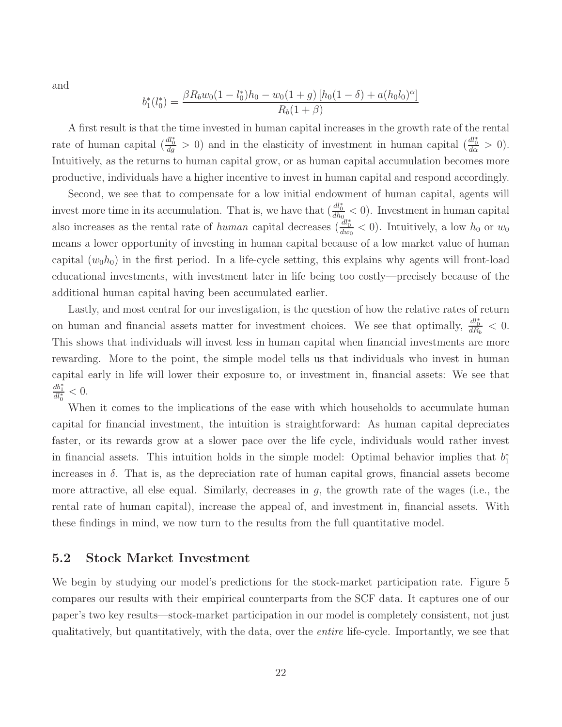and

$$
b_1^*(l_0^*) = \frac{\beta R_b w_0 (1 - l_0^*) h_0 - w_0 (1 + g) [h_0 (1 - \delta) + a (h_0 l_0)^\alpha]}{R_b (1 + \beta)}
$$

A first result is that the time invested in human capital increases in the growth rate of the rental rate of human capital  $\left(\frac{dl_0^*}{dg} > 0\right)$  and in the elasticity of investment in human capital  $\left(\frac{dl_0^*}{d\alpha} > 0\right)$ . Intuitively, as the returns to human capital grow, or as human capital accumulation becomes more productive, individuals have a higher incentive to invest in human capital and respond accordingly.

Second, we see that to compensate for a low initial endowment of human capital, agents will invest more time in its accumulation. That is, we have that  $\left(\frac{dl_0^*}{dh_0}\right)$  (b). Investment in human capital also increases as the rental rate of human capital decreases  $\left(\frac{dl_0^*}{dw_0} < 0\right)$ . Intuitively, a low  $h_0$  or  $w_0$ means a lower opportunity of investing in human capital because of a low market value of human capital  $(w_0h_0)$  in the first period. In a life-cycle setting, this explains why agents will front-load educational investments, with investment later in life being too costly—precisely because of the additional human capital having been accumulated earlier.

Lastly, and most central for our investigation, is the question of how the relative rates of return on human and financial assets matter for investment choices. We see that optimally,  $\frac{dl_0^*}{dR_b} < 0$ . This shows that individuals will invest less in human capital when financial investments are more rewarding. More to the point, the simple model tells us that individuals who invest in human capital early in life will lower their exposure to, or investment in, financial assets: We see that  $\frac{db_1^*}{dl_0^*} < 0.$ 

When it comes to the implications of the ease with which households to accumulate human capital for financial investment, the intuition is straightforward: As human capital depreciates faster, or its rewards grow at a slower pace over the life cycle, individuals would rather invest in financial assets. This intuition holds in the simple model: Optimal behavior implies that  $b_1^*$ increases in  $\delta$ . That is, as the depreciation rate of human capital grows, financial assets become more attractive, all else equal. Similarly, decreases in  $g$ , the growth rate of the wages (i.e., the rental rate of human capital), increase the appeal of, and investment in, financial assets. With these findings in mind, we now turn to the results from the full quantitative model.

#### 5.2 Stock Market Investment

We begin by studying our model's predictions for the stock-market participation rate. Figure 5 compares our results with their empirical counterparts from the SCF data. It captures one of our paper's two key results—stock-market participation in our model is completely consistent, not just qualitatively, but quantitatively, with the data, over the entire life-cycle. Importantly, we see that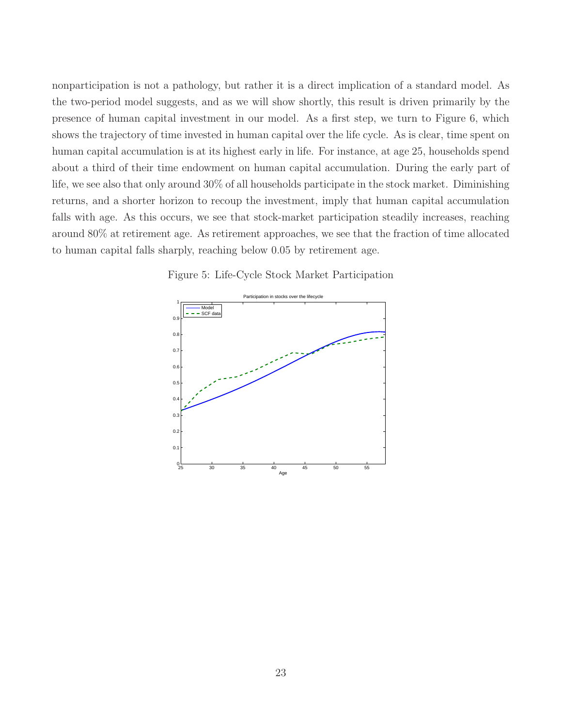nonparticipation is not a pathology, but rather it is a direct implication of a standard model. As the two-period model suggests, and as we will show shortly, this result is driven primarily by the presence of human capital investment in our model. As a first step, we turn to Figure 6, which shows the trajectory of time invested in human capital over the life cycle. As is clear, time spent on human capital accumulation is at its highest early in life. For instance, at age 25, households spend about a third of their time endowment on human capital accumulation. During the early part of life, we see also that only around 30% of all households participate in the stock market. Diminishing returns, and a shorter horizon to recoup the investment, imply that human capital accumulation falls with age. As this occurs, we see that stock-market participation steadily increases, reaching around 80% at retirement age. As retirement approaches, we see that the fraction of time allocated to human capital falls sharply, reaching below 0.05 by retirement age.

Figure 5: Life-Cycle Stock Market Participation

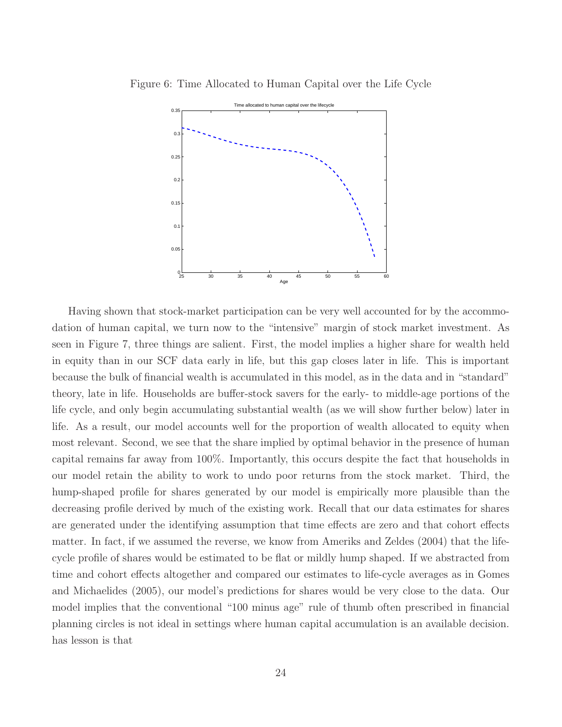Figure 6: Time Allocated to Human Capital over the Life Cycle



Having shown that stock-market participation can be very well accounted for by the accommodation of human capital, we turn now to the "intensive" margin of stock market investment. As seen in Figure 7, three things are salient. First, the model implies a higher share for wealth held in equity than in our SCF data early in life, but this gap closes later in life. This is important because the bulk of financial wealth is accumulated in this model, as in the data and in "standard" theory, late in life. Households are buffer-stock savers for the early- to middle-age portions of the life cycle, and only begin accumulating substantial wealth (as we will show further below) later in life. As a result, our model accounts well for the proportion of wealth allocated to equity when most relevant. Second, we see that the share implied by optimal behavior in the presence of human capital remains far away from 100%. Importantly, this occurs despite the fact that households in our model retain the ability to work to undo poor returns from the stock market. Third, the hump-shaped profile for shares generated by our model is empirically more plausible than the decreasing profile derived by much of the existing work. Recall that our data estimates for shares are generated under the identifying assumption that time effects are zero and that cohort effects matter. In fact, if we assumed the reverse, we know from Ameriks and Zeldes (2004) that the lifecycle profile of shares would be estimated to be flat or mildly hump shaped. If we abstracted from time and cohort effects altogether and compared our estimates to life-cycle averages as in Gomes and Michaelides (2005), our model's predictions for shares would be very close to the data. Our model implies that the conventional "100 minus age" rule of thumb often prescribed in financial planning circles is not ideal in settings where human capital accumulation is an available decision. has lesson is that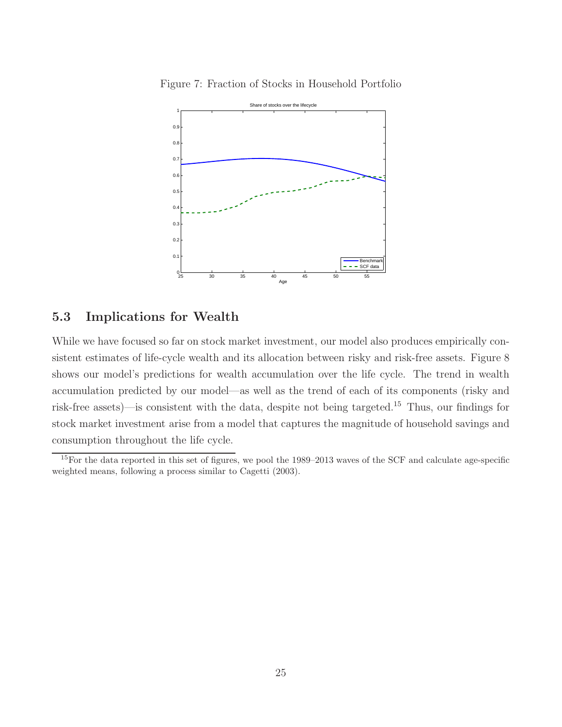



## 5.3 Implications for Wealth

While we have focused so far on stock market investment, our model also produces empirically consistent estimates of life-cycle wealth and its allocation between risky and risk-free assets. Figure 8 shows our model's predictions for wealth accumulation over the life cycle. The trend in wealth accumulation predicted by our model—as well as the trend of each of its components (risky and risk-free assets)—is consistent with the data, despite not being targeted.<sup>15</sup> Thus, our findings for stock market investment arise from a model that captures the magnitude of household savings and consumption throughout the life cycle.

 $15$  For the data reported in this set of figures, we pool the 1989–2013 waves of the SCF and calculate age-specific weighted means, following a process similar to Cagetti (2003).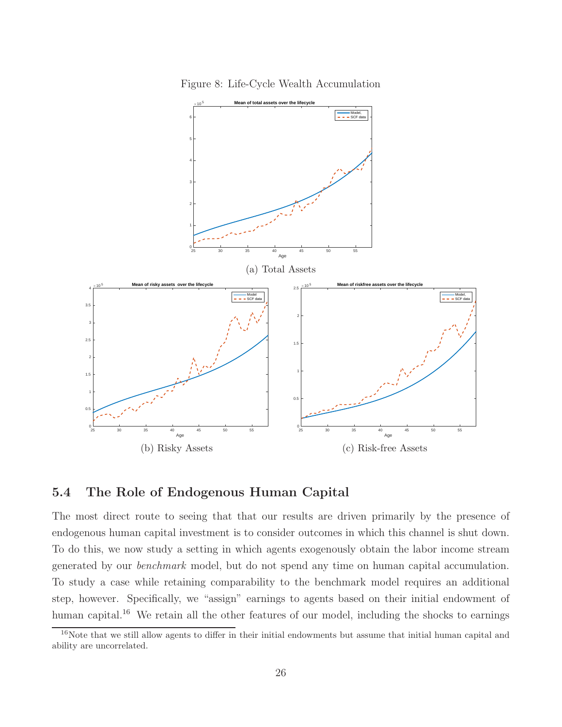

Figure 8: Life-Cycle Wealth Accumulation

## 5.4 The Role of Endogenous Human Capital

The most direct route to seeing that that our results are driven primarily by the presence of endogenous human capital investment is to consider outcomes in which this channel is shut down. To do this, we now study a setting in which agents exogenously obtain the labor income stream generated by our benchmark model, but do not spend any time on human capital accumulation. To study a case while retaining comparability to the benchmark model requires an additional step, however. Specifically, we "assign" earnings to agents based on their initial endowment of human capital.<sup>16</sup> We retain all the other features of our model, including the shocks to earnings

<sup>&</sup>lt;sup>16</sup>Note that we still allow agents to differ in their initial endowments but assume that initial human capital and ability are uncorrelated.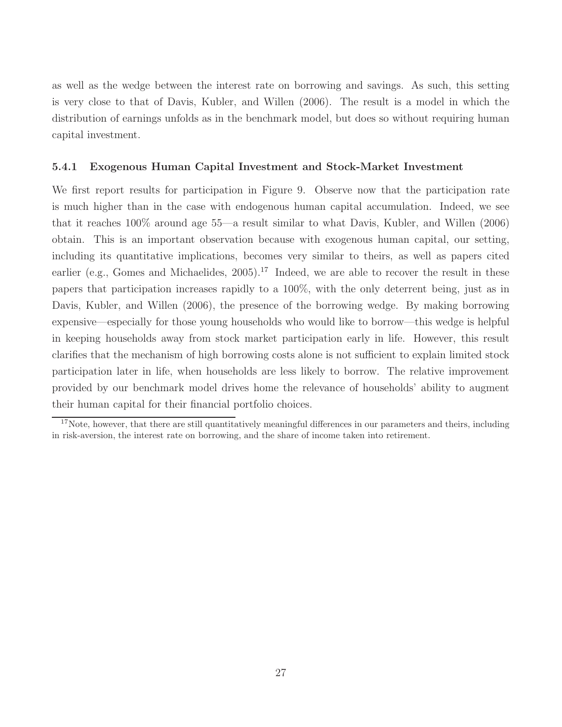as well as the wedge between the interest rate on borrowing and savings. As such, this setting is very close to that of Davis, Kubler, and Willen (2006). The result is a model in which the distribution of earnings unfolds as in the benchmark model, but does so without requiring human capital investment.

#### 5.4.1 Exogenous Human Capital Investment and Stock-Market Investment

We first report results for participation in Figure 9. Observe now that the participation rate is much higher than in the case with endogenous human capital accumulation. Indeed, we see that it reaches 100% around age 55—a result similar to what Davis, Kubler, and Willen (2006) obtain. This is an important observation because with exogenous human capital, our setting, including its quantitative implications, becomes very similar to theirs, as well as papers cited earlier (e.g., Gomes and Michaelides,  $2005$ ).<sup>17</sup> Indeed, we are able to recover the result in these papers that participation increases rapidly to a 100%, with the only deterrent being, just as in Davis, Kubler, and Willen (2006), the presence of the borrowing wedge. By making borrowing expensive—especially for those young households who would like to borrow—this wedge is helpful in keeping households away from stock market participation early in life. However, this result clarifies that the mechanism of high borrowing costs alone is not sufficient to explain limited stock participation later in life, when households are less likely to borrow. The relative improvement provided by our benchmark model drives home the relevance of households' ability to augment their human capital for their financial portfolio choices.

 $17$ Note, however, that there are still quantitatively meaningful differences in our parameters and theirs, including in risk-aversion, the interest rate on borrowing, and the share of income taken into retirement.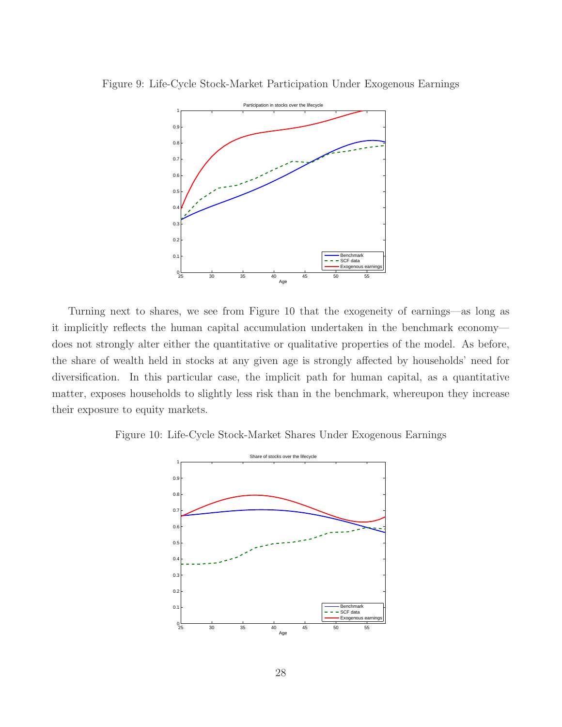



Turning next to shares, we see from Figure 10 that the exogeneity of earnings—as long as it implicitly reflects the human capital accumulation undertaken in the benchmark economy does not strongly alter either the quantitative or qualitative properties of the model. As before, the share of wealth held in stocks at any given age is strongly affected by households' need for diversification. In this particular case, the implicit path for human capital, as a quantitative matter, exposes households to slightly less risk than in the benchmark, whereupon they increase their exposure to equity markets.

Figure 10: Life-Cycle Stock-Market Shares Under Exogenous Earnings

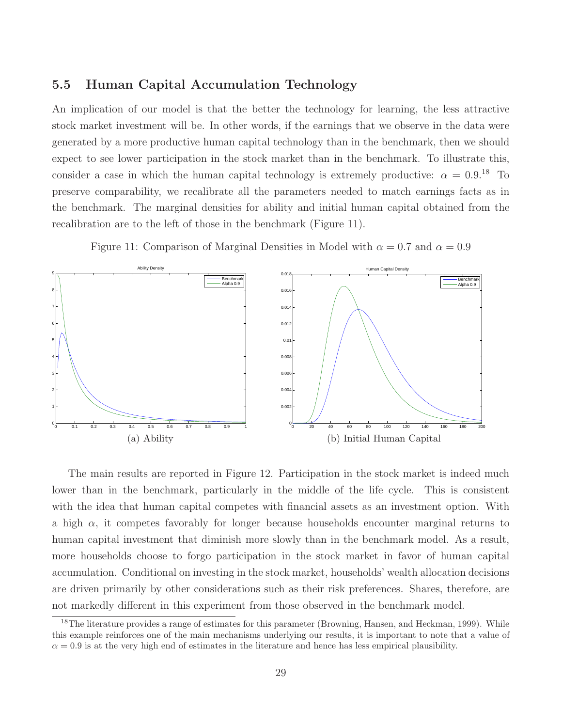### 5.5 Human Capital Accumulation Technology

An implication of our model is that the better the technology for learning, the less attractive stock market investment will be. In other words, if the earnings that we observe in the data were generated by a more productive human capital technology than in the benchmark, then we should expect to see lower participation in the stock market than in the benchmark. To illustrate this, consider a case in which the human capital technology is extremely productive:  $\alpha = 0.9$ .<sup>18</sup> To preserve comparability, we recalibrate all the parameters needed to match earnings facts as in the benchmark. The marginal densities for ability and initial human capital obtained from the recalibration are to the left of those in the benchmark (Figure 11).





The main results are reported in Figure 12. Participation in the stock market is indeed much lower than in the benchmark, particularly in the middle of the life cycle. This is consistent with the idea that human capital competes with financial assets as an investment option. With a high  $\alpha$ , it competes favorably for longer because households encounter marginal returns to human capital investment that diminish more slowly than in the benchmark model. As a result, more households choose to forgo participation in the stock market in favor of human capital accumulation. Conditional on investing in the stock market, households' wealth allocation decisions are driven primarily by other considerations such as their risk preferences. Shares, therefore, are not markedly different in this experiment from those observed in the benchmark model.

<sup>&</sup>lt;sup>18</sup>The literature provides a range of estimates for this parameter (Browning, Hansen, and Heckman, 1999). While this example reinforces one of the main mechanisms underlying our results, it is important to note that a value of  $\alpha = 0.9$  is at the very high end of estimates in the literature and hence has less empirical plausibility.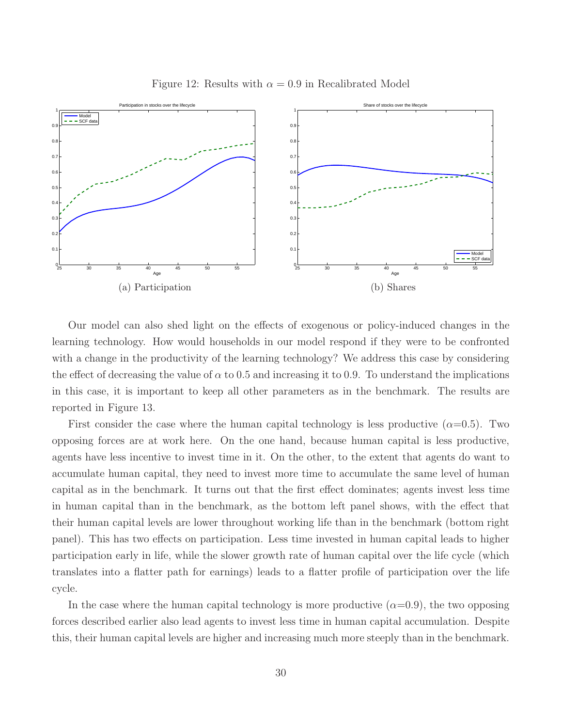

Figure 12: Results with  $\alpha = 0.9$  in Recalibrated Model

Our model can also shed light on the effects of exogenous or policy-induced changes in the learning technology. How would households in our model respond if they were to be confronted with a change in the productivity of the learning technology? We address this case by considering the effect of decreasing the value of  $\alpha$  to 0.5 and increasing it to 0.9. To understand the implications in this case, it is important to keep all other parameters as in the benchmark. The results are reported in Figure 13.

First consider the case where the human capital technology is less productive  $(\alpha=0.5)$ . Two opposing forces are at work here. On the one hand, because human capital is less productive, agents have less incentive to invest time in it. On the other, to the extent that agents do want to accumulate human capital, they need to invest more time to accumulate the same level of human capital as in the benchmark. It turns out that the first effect dominates; agents invest less time in human capital than in the benchmark, as the bottom left panel shows, with the effect that their human capital levels are lower throughout working life than in the benchmark (bottom right panel). This has two effects on participation. Less time invested in human capital leads to higher participation early in life, while the slower growth rate of human capital over the life cycle (which translates into a flatter path for earnings) leads to a flatter profile of participation over the life cycle.

In the case where the human capital technology is more productive  $(\alpha=0.9)$ , the two opposing forces described earlier also lead agents to invest less time in human capital accumulation. Despite this, their human capital levels are higher and increasing much more steeply than in the benchmark.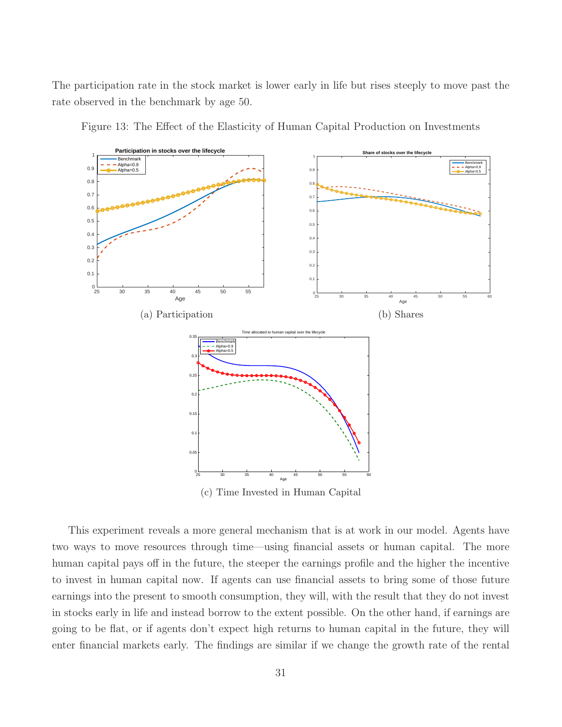The participation rate in the stock market is lower early in life but rises steeply to move past the rate observed in the benchmark by age 50.





(c) Time Invested in Human Capital

This experiment reveals a more general mechanism that is at work in our model. Agents have two ways to move resources through time—using financial assets or human capital. The more human capital pays off in the future, the steeper the earnings profile and the higher the incentive to invest in human capital now. If agents can use financial assets to bring some of those future earnings into the present to smooth consumption, they will, with the result that they do not invest in stocks early in life and instead borrow to the extent possible. On the other hand, if earnings are going to be flat, or if agents don't expect high returns to human capital in the future, they will enter financial markets early. The findings are similar if we change the growth rate of the rental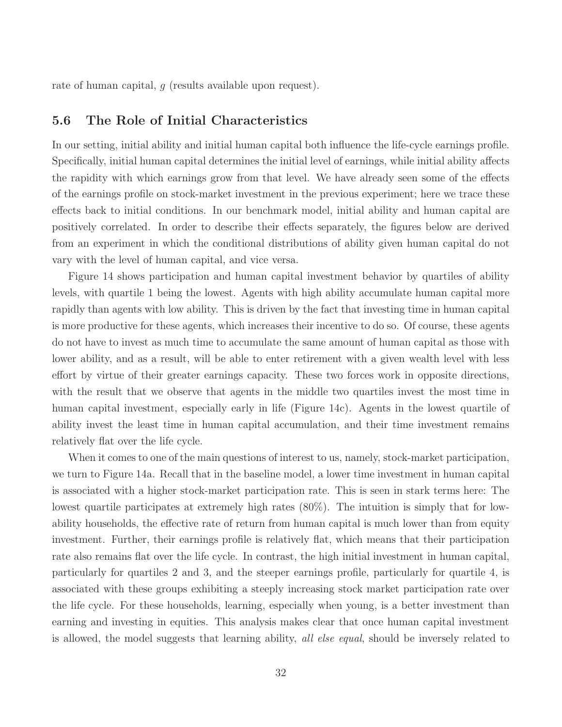rate of human capital, q (results available upon request).

### 5.6 The Role of Initial Characteristics

In our setting, initial ability and initial human capital both influence the life-cycle earnings profile. Specifically, initial human capital determines the initial level of earnings, while initial ability affects the rapidity with which earnings grow from that level. We have already seen some of the effects of the earnings profile on stock-market investment in the previous experiment; here we trace these effects back to initial conditions. In our benchmark model, initial ability and human capital are positively correlated. In order to describe their effects separately, the figures below are derived from an experiment in which the conditional distributions of ability given human capital do not vary with the level of human capital, and vice versa.

Figure 14 shows participation and human capital investment behavior by quartiles of ability levels, with quartile 1 being the lowest. Agents with high ability accumulate human capital more rapidly than agents with low ability. This is driven by the fact that investing time in human capital is more productive for these agents, which increases their incentive to do so. Of course, these agents do not have to invest as much time to accumulate the same amount of human capital as those with lower ability, and as a result, will be able to enter retirement with a given wealth level with less effort by virtue of their greater earnings capacity. These two forces work in opposite directions, with the result that we observe that agents in the middle two quartiles invest the most time in human capital investment, especially early in life (Figure 14c). Agents in the lowest quartile of ability invest the least time in human capital accumulation, and their time investment remains relatively flat over the life cycle.

When it comes to one of the main questions of interest to us, namely, stock-market participation, we turn to Figure 14a. Recall that in the baseline model, a lower time investment in human capital is associated with a higher stock-market participation rate. This is seen in stark terms here: The lowest quartile participates at extremely high rates (80%). The intuition is simply that for lowability households, the effective rate of return from human capital is much lower than from equity investment. Further, their earnings profile is relatively flat, which means that their participation rate also remains flat over the life cycle. In contrast, the high initial investment in human capital, particularly for quartiles 2 and 3, and the steeper earnings profile, particularly for quartile 4, is associated with these groups exhibiting a steeply increasing stock market participation rate over the life cycle. For these households, learning, especially when young, is a better investment than earning and investing in equities. This analysis makes clear that once human capital investment is allowed, the model suggests that learning ability, all else equal, should be inversely related to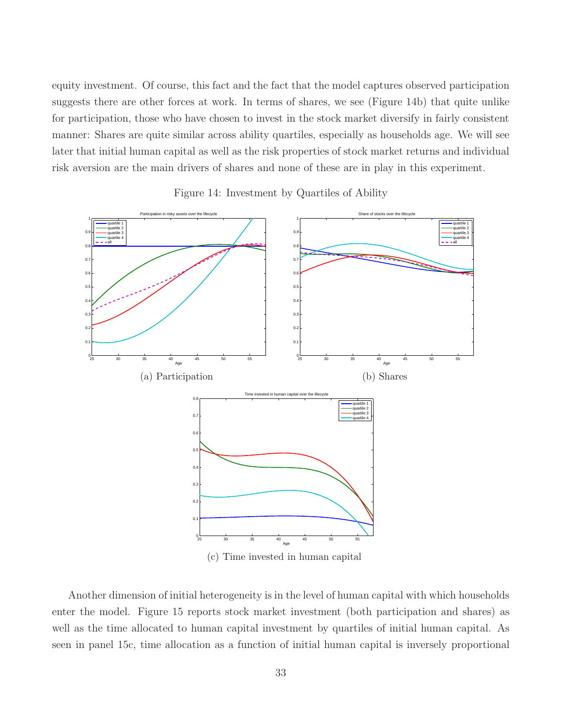equity investment. Of course, this fact and the fact that the model captures observed participation suggests there are other forces at work. In terms of shares, we see (Figure 14b) that quite unlike for participation, those who have chosen to invest in the stock market diversify in fairly consistent manner: Shares are quite similar across ability quartiles, especially as households age. We will see later that initial human capital as well as the risk properties of stock market returns and individual risk aversion are the main drivers of shares and none of these are in play in this experiment.



Figure 14: Investment by Quartiles of Ability

Another dimension of initial heterogeneity is in the level of human capital with which households enter the model. Figure 15 reports stock market investment (both participation and shares) as well as the time allocated to human capital investment by quartiles of initial human capital. As seen in panel 15c, time allocation as a function of initial human capital is inversely proportional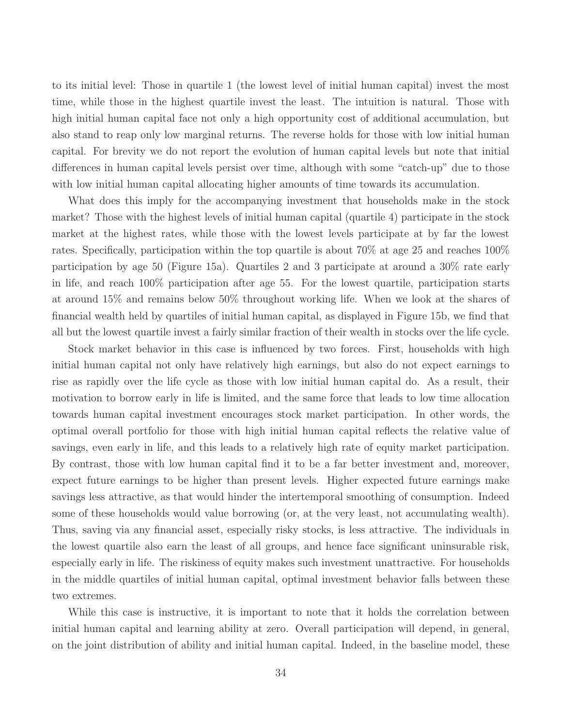to its initial level: Those in quartile 1 (the lowest level of initial human capital) invest the most time, while those in the highest quartile invest the least. The intuition is natural. Those with high initial human capital face not only a high opportunity cost of additional accumulation, but also stand to reap only low marginal returns. The reverse holds for those with low initial human capital. For brevity we do not report the evolution of human capital levels but note that initial differences in human capital levels persist over time, although with some "catch-up" due to those with low initial human capital allocating higher amounts of time towards its accumulation.

What does this imply for the accompanying investment that households make in the stock market? Those with the highest levels of initial human capital (quartile 4) participate in the stock market at the highest rates, while those with the lowest levels participate at by far the lowest rates. Specifically, participation within the top quartile is about 70% at age 25 and reaches 100% participation by age 50 (Figure 15a). Quartiles 2 and 3 participate at around a 30% rate early in life, and reach 100% participation after age 55. For the lowest quartile, participation starts at around 15% and remains below 50% throughout working life. When we look at the shares of financial wealth held by quartiles of initial human capital, as displayed in Figure 15b, we find that all but the lowest quartile invest a fairly similar fraction of their wealth in stocks over the life cycle.

Stock market behavior in this case is influenced by two forces. First, households with high initial human capital not only have relatively high earnings, but also do not expect earnings to rise as rapidly over the life cycle as those with low initial human capital do. As a result, their motivation to borrow early in life is limited, and the same force that leads to low time allocation towards human capital investment encourages stock market participation. In other words, the optimal overall portfolio for those with high initial human capital reflects the relative value of savings, even early in life, and this leads to a relatively high rate of equity market participation. By contrast, those with low human capital find it to be a far better investment and, moreover, expect future earnings to be higher than present levels. Higher expected future earnings make savings less attractive, as that would hinder the intertemporal smoothing of consumption. Indeed some of these households would value borrowing (or, at the very least, not accumulating wealth). Thus, saving via any financial asset, especially risky stocks, is less attractive. The individuals in the lowest quartile also earn the least of all groups, and hence face significant uninsurable risk, especially early in life. The riskiness of equity makes such investment unattractive. For households in the middle quartiles of initial human capital, optimal investment behavior falls between these two extremes.

While this case is instructive, it is important to note that it holds the correlation between initial human capital and learning ability at zero. Overall participation will depend, in general, on the joint distribution of ability and initial human capital. Indeed, in the baseline model, these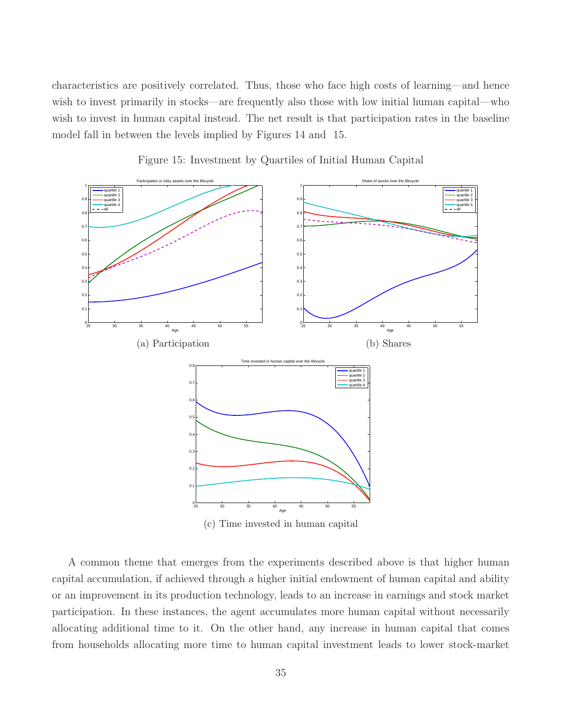characteristics are positively correlated. Thus, those who face high costs of learning—and hence wish to invest primarily in stocks—are frequently also those with low initial human capital—who wish to invest in human capital instead. The net result is that participation rates in the baseline model fall in between the levels implied by Figures 14 and 15.



Figure 15: Investment by Quartiles of Initial Human Capital

A common theme that emerges from the experiments described above is that higher human capital accumulation, if achieved through a higher initial endowment of human capital and ability or an improvement in its production technology, leads to an increase in earnings and stock market participation. In these instances, the agent accumulates more human capital without necessarily allocating additional time to it. On the other hand, any increase in human capital that comes from households allocating more time to human capital investment leads to lower stock-market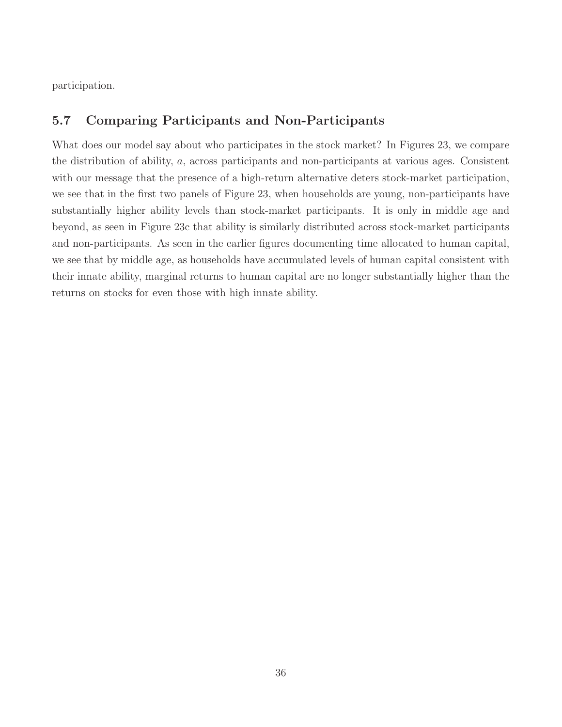participation.

## 5.7 Comparing Participants and Non-Participants

What does our model say about who participates in the stock market? In Figures 23, we compare the distribution of ability, a, across participants and non-participants at various ages. Consistent with our message that the presence of a high-return alternative deters stock-market participation, we see that in the first two panels of Figure 23, when households are young, non-participants have substantially higher ability levels than stock-market participants. It is only in middle age and beyond, as seen in Figure 23c that ability is similarly distributed across stock-market participants and non-participants. As seen in the earlier figures documenting time allocated to human capital, we see that by middle age, as households have accumulated levels of human capital consistent with their innate ability, marginal returns to human capital are no longer substantially higher than the returns on stocks for even those with high innate ability.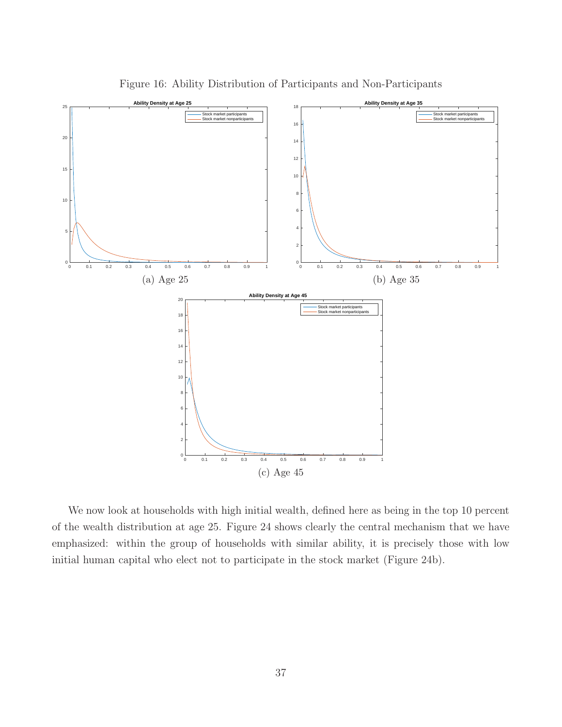

Figure 16: Ability Distribution of Participants and Non-Participants

We now look at households with high initial wealth, defined here as being in the top 10 percent of the wealth distribution at age 25. Figure 24 shows clearly the central mechanism that we have emphasized: within the group of households with similar ability, it is precisely those with low initial human capital who elect not to participate in the stock market (Figure 24b).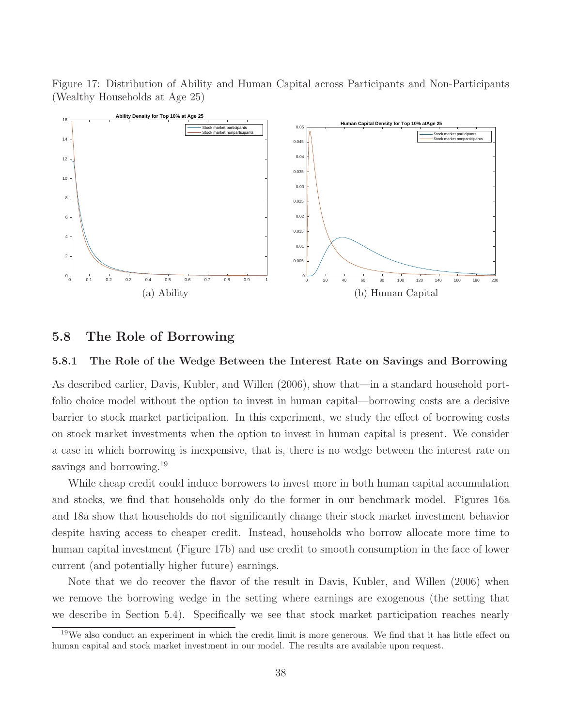Figure 17: Distribution of Ability and Human Capital across Participants and Non-Participants (Wealthy Households at Age 25)



#### 5.8 The Role of Borrowing

#### 5.8.1 The Role of the Wedge Between the Interest Rate on Savings and Borrowing

As described earlier, Davis, Kubler, and Willen (2006), show that—in a standard household portfolio choice model without the option to invest in human capital—borrowing costs are a decisive barrier to stock market participation. In this experiment, we study the effect of borrowing costs on stock market investments when the option to invest in human capital is present. We consider a case in which borrowing is inexpensive, that is, there is no wedge between the interest rate on savings and borrowing.<sup>19</sup>

While cheap credit could induce borrowers to invest more in both human capital accumulation and stocks, we find that households only do the former in our benchmark model. Figures 16a and 18a show that households do not significantly change their stock market investment behavior despite having access to cheaper credit. Instead, households who borrow allocate more time to human capital investment (Figure 17b) and use credit to smooth consumption in the face of lower current (and potentially higher future) earnings.

Note that we do recover the flavor of the result in Davis, Kubler, and Willen (2006) when we remove the borrowing wedge in the setting where earnings are exogenous (the setting that we describe in Section 5.4). Specifically we see that stock market participation reaches nearly

<sup>19</sup>We also conduct an experiment in which the credit limit is more generous. We find that it has little effect on human capital and stock market investment in our model. The results are available upon request.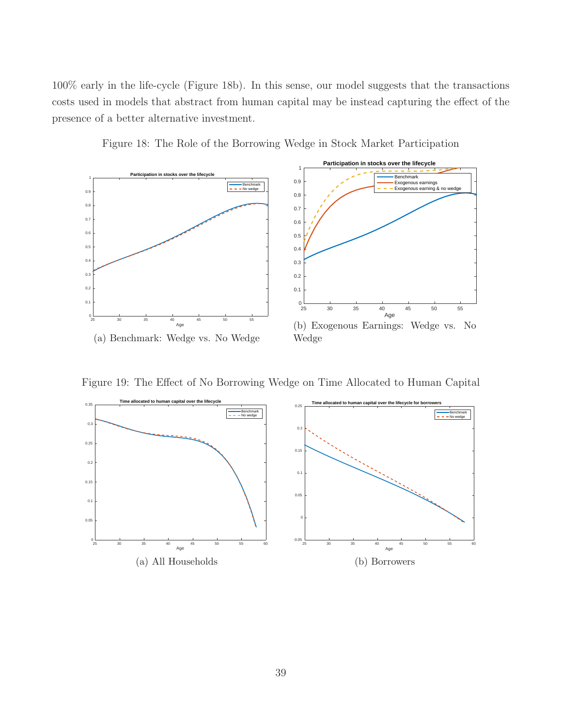100% early in the life-cycle (Figure 18b). In this sense, our model suggests that the transactions costs used in models that abstract from human capital may be instead capturing the effect of the presence of a better alternative investment.



Figure 18: The Role of the Borrowing Wedge in Stock Market Participation

Figure 19: The Effect of No Borrowing Wedge on Time Allocated to Human Capital

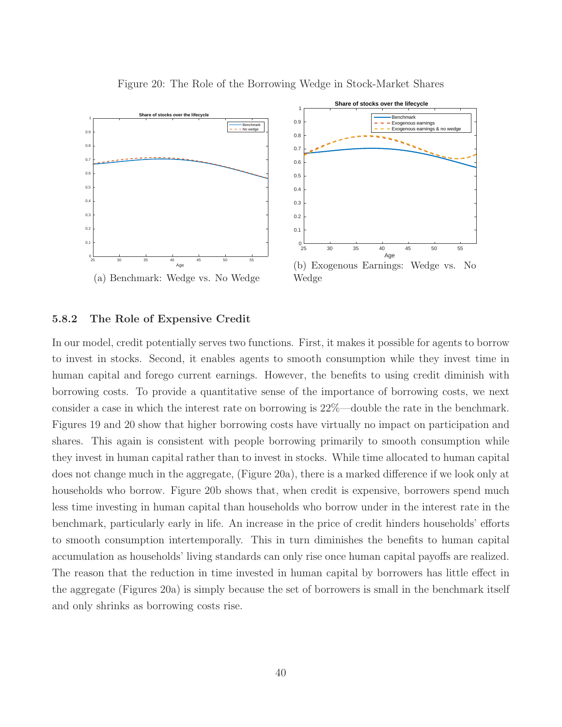

Figure 20: The Role of the Borrowing Wedge in Stock-Market Shares

#### 5.8.2 The Role of Expensive Credit

In our model, credit potentially serves two functions. First, it makes it possible for agents to borrow to invest in stocks. Second, it enables agents to smooth consumption while they invest time in human capital and forego current earnings. However, the benefits to using credit diminish with borrowing costs. To provide a quantitative sense of the importance of borrowing costs, we next consider a case in which the interest rate on borrowing is 22%—double the rate in the benchmark. Figures 19 and 20 show that higher borrowing costs have virtually no impact on participation and shares. This again is consistent with people borrowing primarily to smooth consumption while they invest in human capital rather than to invest in stocks. While time allocated to human capital does not change much in the aggregate, (Figure 20a), there is a marked difference if we look only at households who borrow. Figure 20b shows that, when credit is expensive, borrowers spend much less time investing in human capital than households who borrow under in the interest rate in the benchmark, particularly early in life. An increase in the price of credit hinders households' efforts to smooth consumption intertemporally. This in turn diminishes the benefits to human capital accumulation as households' living standards can only rise once human capital payoffs are realized. The reason that the reduction in time invested in human capital by borrowers has little effect in the aggregate (Figures 20a) is simply because the set of borrowers is small in the benchmark itself and only shrinks as borrowing costs rise.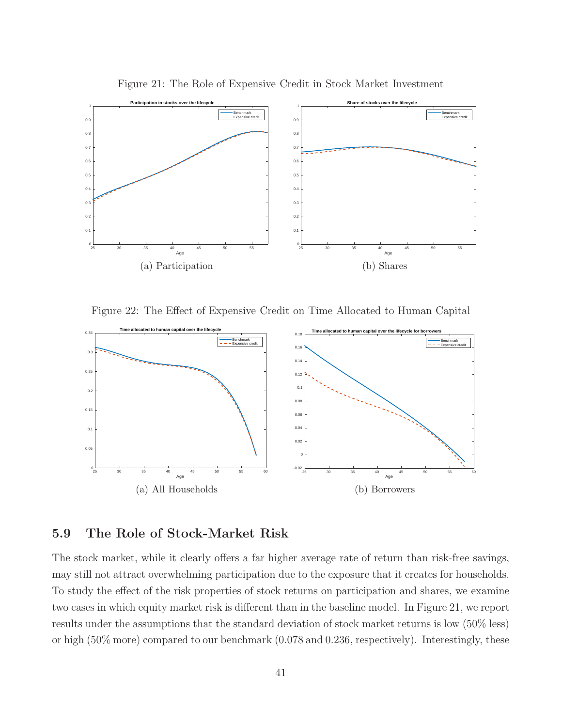

Figure 21: The Role of Expensive Credit in Stock Market Investment

Figure 22: The Effect of Expensive Credit on Time Allocated to Human Capital



## 5.9 The Role of Stock-Market Risk

The stock market, while it clearly offers a far higher average rate of return than risk-free savings, may still not attract overwhelming participation due to the exposure that it creates for households. To study the effect of the risk properties of stock returns on participation and shares, we examine two cases in which equity market risk is different than in the baseline model. In Figure 21, we report results under the assumptions that the standard deviation of stock market returns is low (50% less) or high (50% more) compared to our benchmark (0.078 and 0.236, respectively). Interestingly, these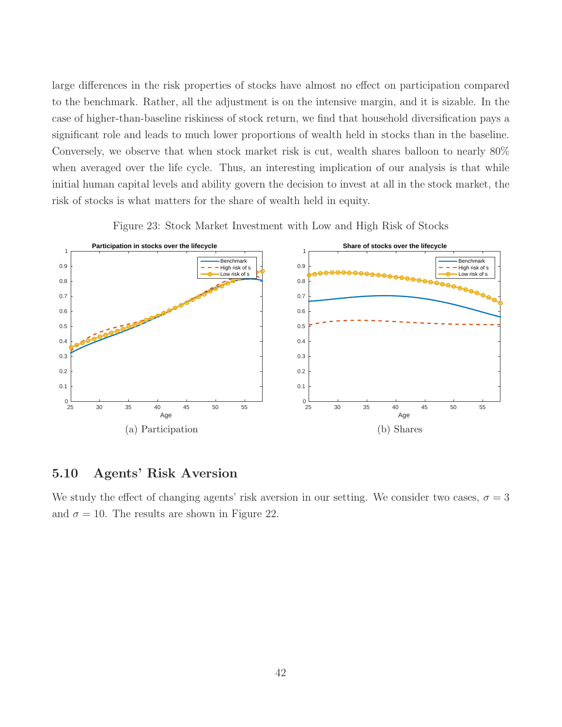large differences in the risk properties of stocks have almost no effect on participation compared to the benchmark. Rather, all the adjustment is on the intensive margin, and it is sizable. In the case of higher-than-baseline riskiness of stock return, we find that household diversification pays a significant role and leads to much lower proportions of wealth held in stocks than in the baseline. Conversely, we observe that when stock market risk is cut, wealth shares balloon to nearly 80% when averaged over the life cycle. Thus, an interesting implication of our analysis is that while initial human capital levels and ability govern the decision to invest at all in the stock market, the risk of stocks is what matters for the share of wealth held in equity.



Figure 23: Stock Market Investment with Low and High Risk of Stocks

### 5.10 Agents' Risk Aversion

We study the effect of changing agents' risk aversion in our setting. We consider two cases,  $\sigma = 3$ and  $\sigma = 10$ . The results are shown in Figure 22.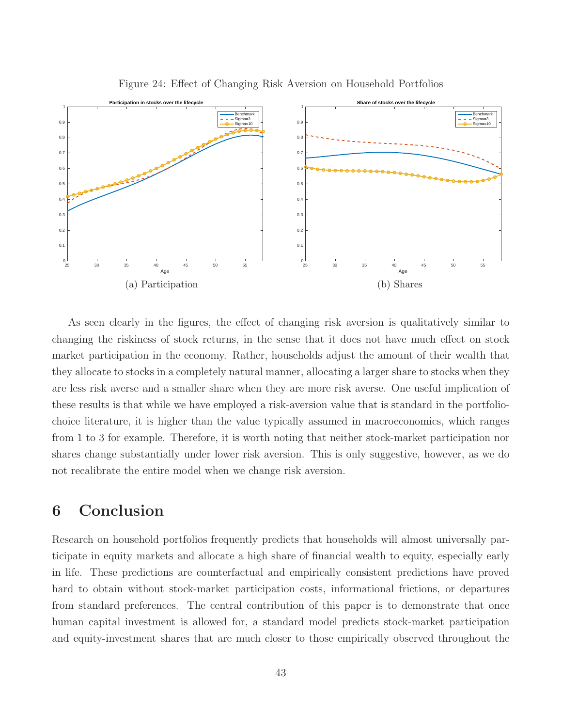

Figure 24: Effect of Changing Risk Aversion on Household Portfolios

As seen clearly in the figures, the effect of changing risk aversion is qualitatively similar to changing the riskiness of stock returns, in the sense that it does not have much effect on stock market participation in the economy. Rather, households adjust the amount of their wealth that they allocate to stocks in a completely natural manner, allocating a larger share to stocks when they are less risk averse and a smaller share when they are more risk averse. One useful implication of these results is that while we have employed a risk-aversion value that is standard in the portfoliochoice literature, it is higher than the value typically assumed in macroeconomics, which ranges from 1 to 3 for example. Therefore, it is worth noting that neither stock-market participation nor shares change substantially under lower risk aversion. This is only suggestive, however, as we do not recalibrate the entire model when we change risk aversion.

# 6 Conclusion

Research on household portfolios frequently predicts that households will almost universally participate in equity markets and allocate a high share of financial wealth to equity, especially early in life. These predictions are counterfactual and empirically consistent predictions have proved hard to obtain without stock-market participation costs, informational frictions, or departures from standard preferences. The central contribution of this paper is to demonstrate that once human capital investment is allowed for, a standard model predicts stock-market participation and equity-investment shares that are much closer to those empirically observed throughout the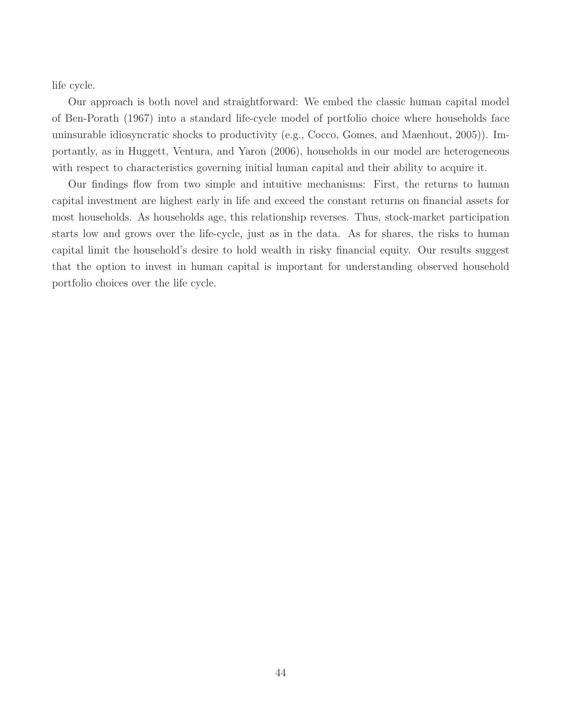life cycle.

Our approach is both novel and straightforward: We embed the classic human capital model of Ben-Porath (1967) into a standard life-cycle model of portfolio choice where households face uninsurable idiosyncratic shocks to productivity (e.g., Cocco, Gomes, and Maenhout, 2005)). Importantly, as in Huggett, Ventura, and Yaron (2006), households in our model are heterogeneous with respect to characteristics governing initial human capital and their ability to acquire it.

Our findings flow from two simple and intuitive mechanisms: First, the returns to human capital investment are highest early in life and exceed the constant returns on financial assets for most households. As households age, this relationship reverses. Thus, stock-market participation starts low and grows over the life-cycle, just as in the data. As for shares, the risks to human capital limit the household's desire to hold wealth in risky financial equity. Our results suggest that the option to invest in human capital is important for understanding observed household portfolio choices over the life cycle.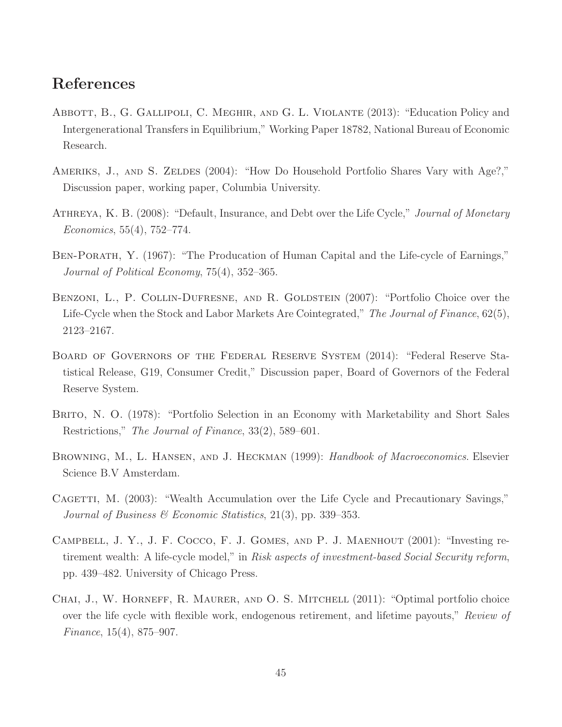## References

- Abbott, B., G. Gallipoli, C. Meghir, and G. L. Violante (2013): "Education Policy and Intergenerational Transfers in Equilibrium," Working Paper 18782, National Bureau of Economic Research.
- AMERIKS, J., AND S. ZELDES (2004): "How Do Household Portfolio Shares Vary with Age?," Discussion paper, working paper, Columbia University.
- ATHREYA, K. B. (2008): "Default, Insurance, and Debt over the Life Cycle," *Journal of Monetary* Economics, 55(4), 752–774.
- BEN-PORATH, Y. (1967): "The Producation of Human Capital and the Life-cycle of Earnings," Journal of Political Economy, 75(4), 352–365.
- BENZONI, L., P. COLLIN-DUFRESNE, AND R. GOLDSTEIN (2007): "Portfolio Choice over the Life-Cycle when the Stock and Labor Markets Are Cointegrated," The Journal of Finance, 62(5), 2123–2167.
- Board of Governors of the Federal Reserve System (2014): "Federal Reserve Statistical Release, G19, Consumer Credit," Discussion paper, Board of Governors of the Federal Reserve System.
- Brito, N. O. (1978): "Portfolio Selection in an Economy with Marketability and Short Sales Restrictions," The Journal of Finance, 33(2), 589–601.
- BROWNING, M., L. HANSEN, AND J. HECKMAN (1999): Handbook of Macroeconomics. Elsevier Science B.V Amsterdam.
- CAGETTI, M. (2003): "Wealth Accumulation over the Life Cycle and Precautionary Savings," Journal of Business & Economic Statistics, 21(3), pp. 339–353.
- Campbell, J. Y., J. F. Cocco, F. J. Gomes, and P. J. Maenhout (2001): "Investing retirement wealth: A life-cycle model," in Risk aspects of investment-based Social Security reform, pp. 439–482. University of Chicago Press.
- Chai, J., W. Horneff, R. Maurer, and O. S. Mitchell (2011): "Optimal portfolio choice over the life cycle with flexible work, endogenous retirement, and lifetime payouts," Review of Finance, 15(4), 875–907.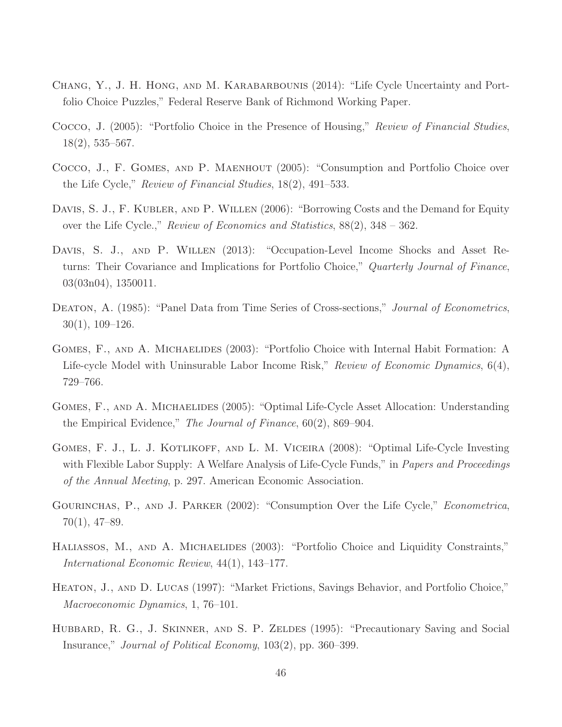- Chang, Y., J. H. Hong, and M. Karabarbounis (2014): "Life Cycle Uncertainty and Portfolio Choice Puzzles," Federal Reserve Bank of Richmond Working Paper.
- Cocco, J. (2005): "Portfolio Choice in the Presence of Housing," Review of Financial Studies, 18(2), 535–567.
- Cocco, J., F. Gomes, and P. Maenhout (2005): "Consumption and Portfolio Choice over the Life Cycle," Review of Financial Studies, 18(2), 491–533.
- DAVIS, S. J., F. KUBLER, AND P. WILLEN (2006): "Borrowing Costs and the Demand for Equity over the Life Cycle.," Review of Economics and Statistics, 88(2), 348 – 362.
- Davis, S. J., and P. Willen (2013): "Occupation-Level Income Shocks and Asset Returns: Their Covariance and Implications for Portfolio Choice," Quarterly Journal of Finance, 03(03n04), 1350011.
- DEATON, A. (1985): "Panel Data from Time Series of Cross-sections," *Journal of Econometrics*, 30(1), 109–126.
- Gomes, F., and A. Michaelides (2003): "Portfolio Choice with Internal Habit Formation: A Life-cycle Model with Uninsurable Labor Income Risk," Review of Economic Dynamics, 6(4), 729–766.
- GOMES, F., AND A. MICHAELIDES (2005): "Optimal Life-Cycle Asset Allocation: Understanding the Empirical Evidence," The Journal of Finance, 60(2), 869–904.
- Gomes, F. J., L. J. Kotlikoff, and L. M. Viceira (2008): "Optimal Life-Cycle Investing with Flexible Labor Supply: A Welfare Analysis of Life-Cycle Funds," in *Papers and Proceedings* of the Annual Meeting, p. 297. American Economic Association.
- GOURINCHAS, P., AND J. PARKER (2002): "Consumption Over the Life Cycle," *Econometrica*, 70(1), 47–89.
- HALIASSOS, M., AND A. MICHAELIDES (2003): "Portfolio Choice and Liquidity Constraints," International Economic Review, 44(1), 143–177.
- Heaton, J., and D. Lucas (1997): "Market Frictions, Savings Behavior, and Portfolio Choice," Macroeconomic Dynamics, 1, 76–101.
- HUBBARD, R. G., J. SKINNER, AND S. P. ZELDES (1995): "Precautionary Saving and Social Insurance," Journal of Political Economy, 103(2), pp. 360–399.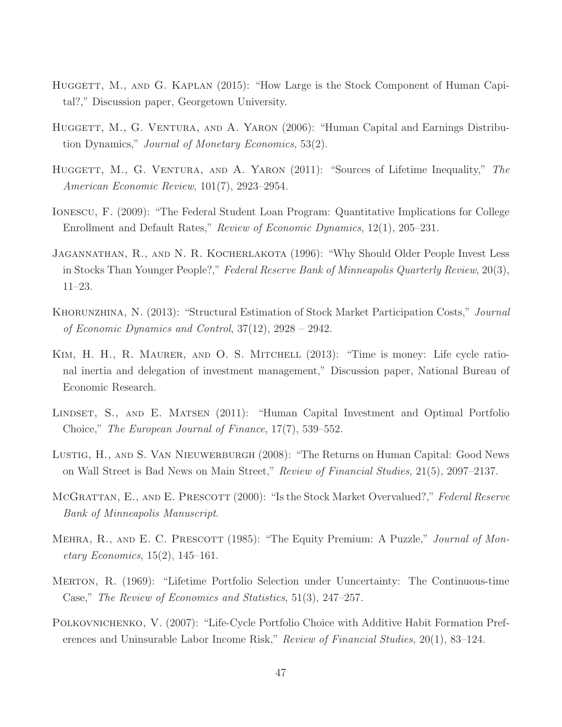- HUGGETT, M., AND G. KAPLAN (2015): "How Large is the Stock Component of Human Capital?," Discussion paper, Georgetown University.
- HUGGETT, M., G. VENTURA, AND A. YARON (2006): "Human Capital and Earnings Distribution Dynamics," Journal of Monetary Economics, 53(2).
- HUGGETT, M., G. VENTURA, AND A. YARON (2011): "Sources of Lifetime Inequality," The American Economic Review, 101(7), 2923–2954.
- Ionescu, F. (2009): "The Federal Student Loan Program: Quantitative Implications for College Enrollment and Default Rates," Review of Economic Dynamics, 12(1), 205–231.
- Jagannathan, R., and N. R. Kocherlakota (1996): "Why Should Older People Invest Less in Stocks Than Younger People?," Federal Reserve Bank of Minneapolis Quarterly Review, 20(3), 11–23.
- KHORUNZHINA, N. (2013): "Structural Estimation of Stock Market Participation Costs," Journal of Economic Dynamics and Control, 37(12), 2928 – 2942.
- Kim, H. H., R. Maurer, and O. S. Mitchell (2013): "Time is money: Life cycle rational inertia and delegation of investment management," Discussion paper, National Bureau of Economic Research.
- LINDSET, S., AND E. MATSEN (2011): "Human Capital Investment and Optimal Portfolio Choice," The European Journal of Finance, 17(7), 539–552.
- Lustig, H., and S. Van Nieuwerburgh (2008): "The Returns on Human Capital: Good News on Wall Street is Bad News on Main Street," Review of Financial Studies, 21(5), 2097–2137.
- MCGRATTAN, E., AND E. PRESCOTT (2000): "Is the Stock Market Overvalued?," Federal Reserve Bank of Minneapolis Manuscript.
- MEHRA, R., AND E. C. PRESCOTT (1985): "The Equity Premium: A Puzzle," *Journal of Mon*- $\text{etary Economics}, 15(2), 145-161.$
- Merton, R. (1969): "Lifetime Portfolio Selection under Uuncertainty: The Continuous-time Case," The Review of Economics and Statistics, 51(3), 247–257.
- POLKOVNICHENKO, V. (2007): "Life-Cycle Portfolio Choice with Additive Habit Formation Preferences and Uninsurable Labor Income Risk," Review of Financial Studies, 20(1), 83–124.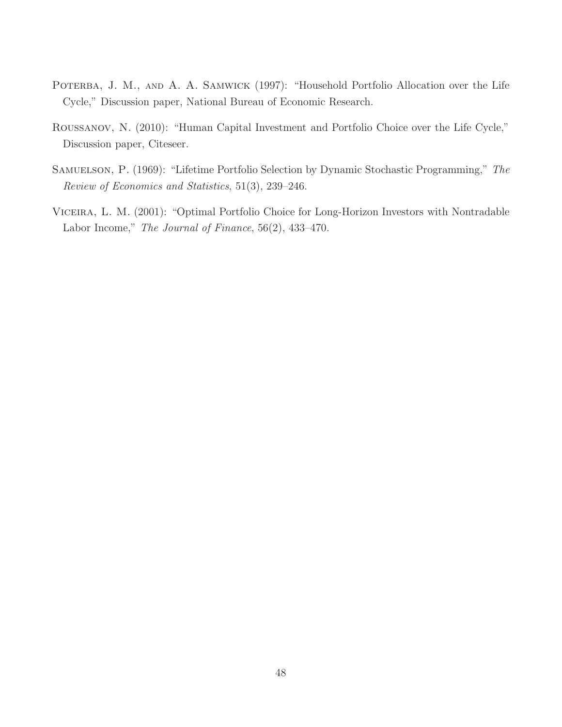- POTERBA, J. M., AND A. A. SAMWICK (1997): "Household Portfolio Allocation over the Life Cycle," Discussion paper, National Bureau of Economic Research.
- Roussanov, N. (2010): "Human Capital Investment and Portfolio Choice over the Life Cycle," Discussion paper, Citeseer.
- SAMUELSON, P. (1969): "Lifetime Portfolio Selection by Dynamic Stochastic Programming," The Review of Economics and Statistics, 51(3), 239–246.
- Viceira, L. M. (2001): "Optimal Portfolio Choice for Long-Horizon Investors with Nontradable Labor Income," The Journal of Finance, 56(2), 433–470.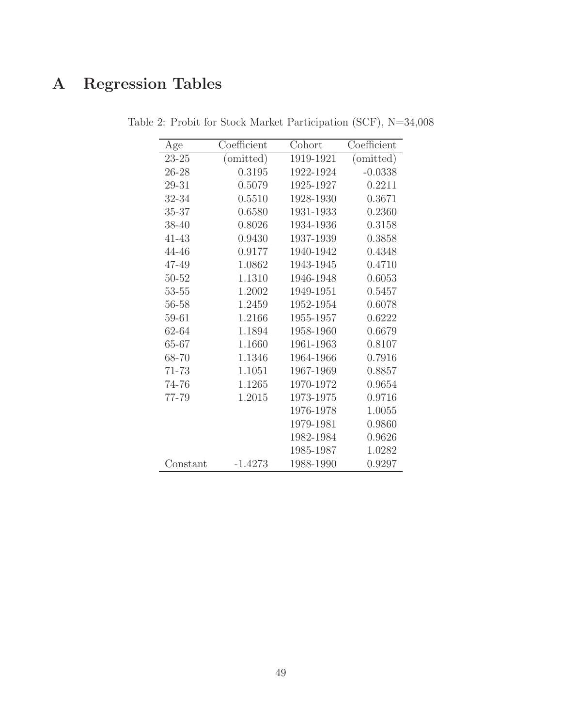# A Regression Tables

| Age       | Coefficient | Cohort    | Coefficient                   |
|-----------|-------------|-----------|-------------------------------|
| $23 - 25$ | (omitted)   | 1919-1921 | $\overline{\text{(omitted)}}$ |
| 26-28     | 0.3195      | 1922-1924 | $-0.0338$                     |
| 29-31     | 0.5079      | 1925-1927 | 0.2211                        |
| 32-34     | 0.5510      | 1928-1930 | 0.3671                        |
| 35-37     | 0.6580      | 1931-1933 | 0.2360                        |
| 38-40     | 0.8026      | 1934-1936 | 0.3158                        |
| $41 - 43$ | 0.9430      | 1937-1939 | 0.3858                        |
| 44-46     | 0.9177      | 1940-1942 | 0.4348                        |
| 47-49     | 1.0862      | 1943-1945 | 0.4710                        |
| $50 - 52$ | 1.1310      | 1946-1948 | 0.6053                        |
| $53 - 55$ | 1.2002      | 1949-1951 | 0.5457                        |
| 56-58     | 1.2459      | 1952-1954 | 0.6078                        |
| 59-61     | 1.2166      | 1955-1957 | 0.6222                        |
| 62-64     | 1.1894      | 1958-1960 | 0.6679                        |
| 65-67     | 1.1660      | 1961-1963 | 0.8107                        |
| 68-70     | 1.1346      | 1964-1966 | 0.7916                        |
| 71-73     | 1.1051      | 1967-1969 | 0.8857                        |
| 74-76     | 1.1265      | 1970-1972 | 0.9654                        |
| 77-79     | 1.2015      | 1973-1975 | 0.9716                        |
|           |             | 1976-1978 | 1.0055                        |
|           |             | 1979-1981 | 0.9860                        |
|           |             | 1982-1984 | 0.9626                        |
|           |             | 1985-1987 | 1.0282                        |
| Constant  | $-1.4273$   | 1988-1990 | 0.9297                        |

Table 2: Probit for Stock Market Participation (SCF), N=34,008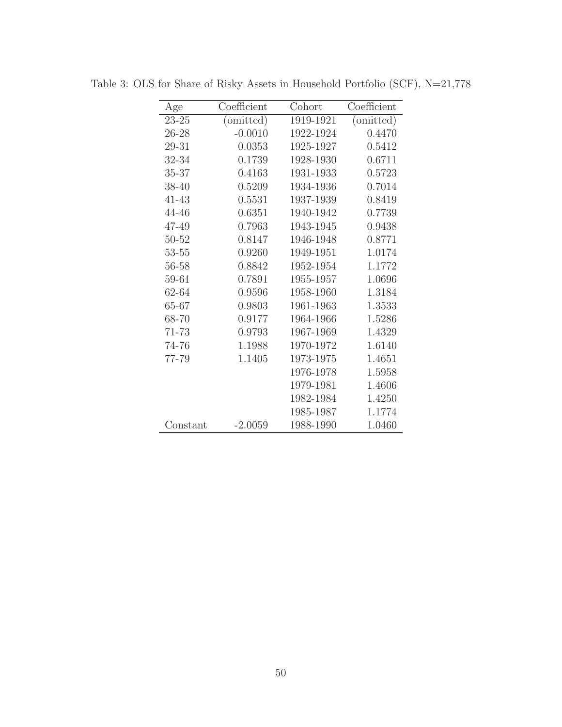| Age       | Coefficient                   | Cohort    | Coefficient                   |
|-----------|-------------------------------|-----------|-------------------------------|
| $23 - 25$ | $\overline{\text{(omitted)}}$ | 1919-1921 | $\overline{\text{(omitted)}}$ |
| 26-28     | $-0.0010$                     | 1922-1924 | 0.4470                        |
| 29-31     | 0.0353                        | 1925-1927 | 0.5412                        |
| 32-34     | 0.1739                        | 1928-1930 | 0.6711                        |
| 35-37     | 0.4163                        | 1931-1933 | 0.5723                        |
| 38-40     | 0.5209                        | 1934-1936 | 0.7014                        |
| $41 - 43$ | 0.5531                        | 1937-1939 | 0.8419                        |
| 44-46     | 0.6351                        | 1940-1942 | 0.7739                        |
| 47-49     | 0.7963                        | 1943-1945 | 0.9438                        |
| 50-52     | 0.8147                        | 1946-1948 | 0.8771                        |
| $53 - 55$ | 0.9260                        | 1949-1951 | 1.0174                        |
| 56-58     | 0.8842                        | 1952-1954 | 1.1772                        |
| 59-61     | 0.7891                        | 1955-1957 | 1.0696                        |
| 62-64     | 0.9596                        | 1958-1960 | 1.3184                        |
| 65-67     | 0.9803                        | 1961-1963 | 1.3533                        |
| 68-70     | 0.9177                        | 1964-1966 | 1.5286                        |
| 71-73     | 0.9793                        | 1967-1969 | 1.4329                        |
| 74-76     | 1.1988                        | 1970-1972 | 1.6140                        |
| 77-79     | 1.1405                        | 1973-1975 | 1.4651                        |
|           |                               | 1976-1978 | 1.5958                        |
|           |                               | 1979-1981 | 1.4606                        |
|           |                               | 1982-1984 | 1.4250                        |
|           |                               | 1985-1987 | 1.1774                        |
| Constant  | $-2.0059$                     | 1988-1990 | 1.0460                        |

Table 3: OLS for Share of Risky Assets in Household Portfolio (SCF), N=21,778